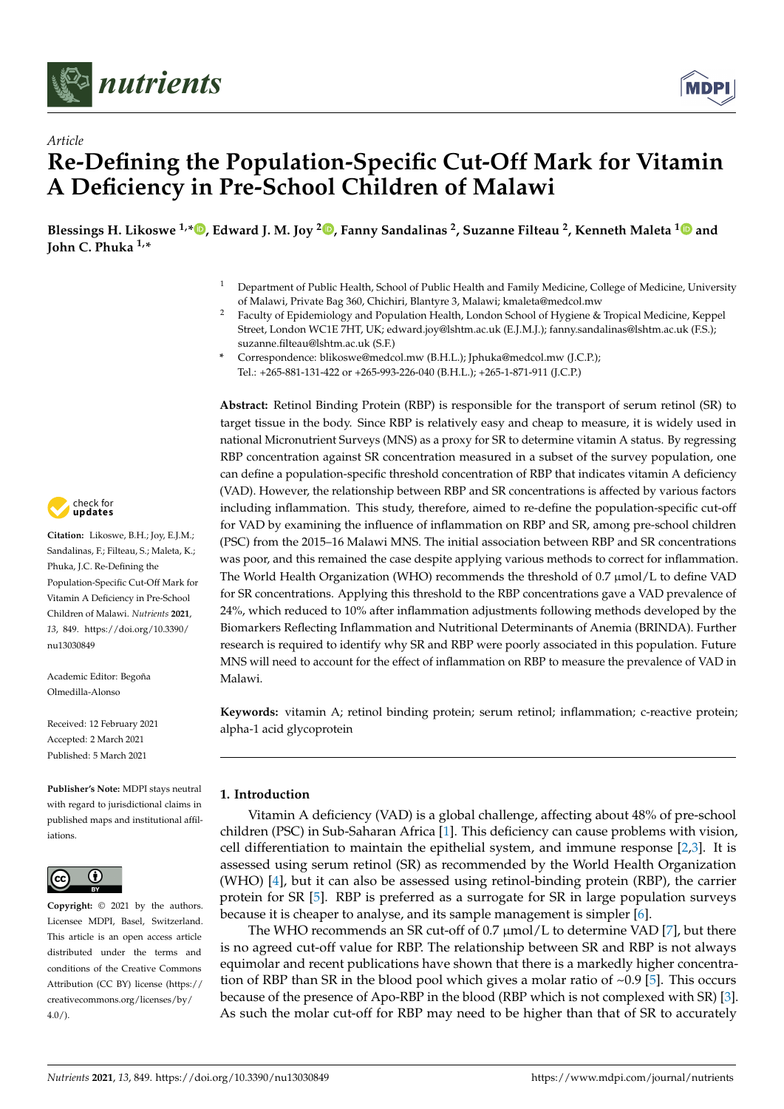



# *Article* **Re-Defining the Population-Specific Cut-Off Mark for Vitamin A Deficiency in Pre-School Children of Malawi**

**Blessings H. Likoswe 1,[\\*](https://orcid.org/0000-0003-4583-7683) , Edward J. M. Joy <sup>2</sup> [,](https://orcid.org/0000-0002-0106-866X) Fanny Sandalinas <sup>2</sup> , Suzanne Filteau <sup>2</sup> , Kenneth Maleta [1](https://orcid.org/0000-0002-2536-3938) and John C. Phuka 1,\***

- <sup>1</sup> Department of Public Health, School of Public Health and Family Medicine, College of Medicine, University of Malawi, Private Bag 360, Chichiri, Blantyre 3, Malawi; kmaleta@medcol.mw
- <sup>2</sup> Faculty of Epidemiology and Population Health, London School of Hygiene & Tropical Medicine, Keppel Street, London WC1E 7HT, UK; edward.joy@lshtm.ac.uk (E.J.M.J.); fanny.sandalinas@lshtm.ac.uk (F.S.); suzanne.filteau@lshtm.ac.uk (S.F.)
- **\*** Correspondence: blikoswe@medcol.mw (B.H.L.); Jphuka@medcol.mw (J.C.P.); Tel.: +265-881-131-422 or +265-993-226-040 (B.H.L.); +265-1-871-911 (J.C.P.)

**Abstract:** Retinol Binding Protein (RBP) is responsible for the transport of serum retinol (SR) to target tissue in the body. Since RBP is relatively easy and cheap to measure, it is widely used in national Micronutrient Surveys (MNS) as a proxy for SR to determine vitamin A status. By regressing RBP concentration against SR concentration measured in a subset of the survey population, one can define a population-specific threshold concentration of RBP that indicates vitamin A deficiency (VAD). However, the relationship between RBP and SR concentrations is affected by various factors including inflammation. This study, therefore, aimed to re-define the population-specific cut-off for VAD by examining the influence of inflammation on RBP and SR, among pre-school children (PSC) from the 2015–16 Malawi MNS. The initial association between RBP and SR concentrations was poor, and this remained the case despite applying various methods to correct for inflammation. The World Health Organization (WHO) recommends the threshold of 0.7  $\mu$ mol/L to define VAD for SR concentrations. Applying this threshold to the RBP concentrations gave a VAD prevalence of 24%, which reduced to 10% after inflammation adjustments following methods developed by the Biomarkers Reflecting Inflammation and Nutritional Determinants of Anemia (BRINDA). Further research is required to identify why SR and RBP were poorly associated in this population. Future MNS will need to account for the effect of inflammation on RBP to measure the prevalence of VAD in Malawi.

**Keywords:** vitamin A; retinol binding protein; serum retinol; inflammation; c-reactive protein; alpha-1 acid glycoprotein

# **1. Introduction**

Vitamin A deficiency (VAD) is a global challenge, affecting about 48% of pre-school children (PSC) in Sub-Saharan Africa [\[1\]](#page-11-0). This deficiency can cause problems with vision, cell differentiation to maintain the epithelial system, and immune response  $[2,3]$  $[2,3]$ . It is assessed using serum retinol (SR) as recommended by the World Health Organization (WHO) [\[4\]](#page-12-0), but it can also be assessed using retinol-binding protein (RBP), the carrier protein for SR [\[5\]](#page-12-1). RBP is preferred as a surrogate for SR in large population surveys because it is cheaper to analyse, and its sample management is simpler [\[6\]](#page-12-2).

The WHO recommends an SR cut-off of  $0.7 \mu$ mol/L to determine VAD [\[7\]](#page-12-3), but there is no agreed cut-off value for RBP. The relationship between SR and RBP is not always equimolar and recent publications have shown that there is a markedly higher concentration of RBP than SR in the blood pool which gives a molar ratio of  $\sim$ 0.9 [\[5\]](#page-12-1). This occurs because of the presence of Apo-RBP in the blood (RBP which is not complexed with SR) [\[3\]](#page-11-2). As such the molar cut-off for RBP may need to be higher than that of SR to accurately



**Citation:** Likoswe, B.H.; Joy, E.J.M.; Sandalinas, F.; Filteau, S.; Maleta, K.; Phuka, J.C. Re-Defining the Population-Specific Cut-Off Mark for Vitamin A Deficiency in Pre-School Children of Malawi. *Nutrients* **2021**, *13*, 849. [https://doi.org/10.3390/](https://doi.org/10.3390/nu13030849) [nu13030849](https://doi.org/10.3390/nu13030849)

Academic Editor: Begoña Olmedilla-Alonso

Received: 12 February 2021 Accepted: 2 March 2021 Published: 5 March 2021

**Publisher's Note:** MDPI stays neutral with regard to jurisdictional claims in published maps and institutional affiliations.



**Copyright:** © 2021 by the authors. Licensee MDPI, Basel, Switzerland. This article is an open access article distributed under the terms and conditions of the Creative Commons Attribution (CC BY) license (https:/[/](https://creativecommons.org/licenses/by/4.0/) [creativecommons.org/licenses/by/](https://creativecommons.org/licenses/by/4.0/) 4.0/).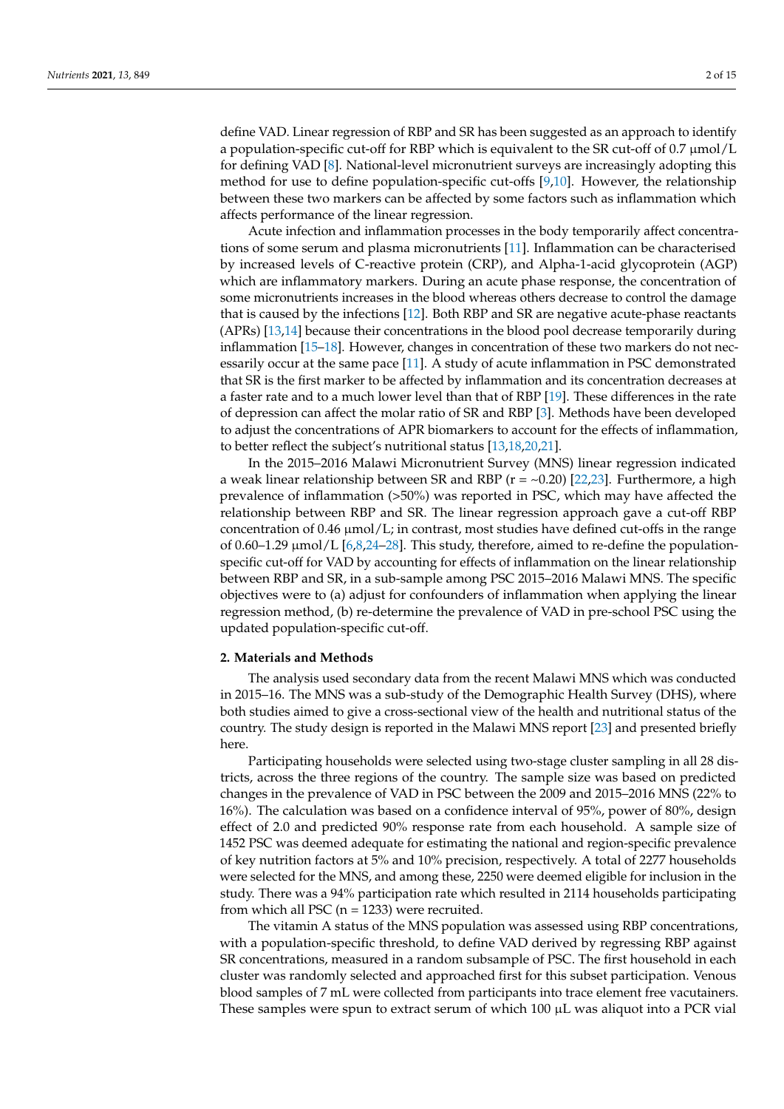define VAD. Linear regression of RBP and SR has been suggested as an approach to identify a population-specific cut-off for RBP which is equivalent to the SR cut-off of 0.7  $\mu$ mol/L for defining VAD [\[8\]](#page-12-4). National-level micronutrient surveys are increasingly adopting this method for use to define population-specific cut-offs [\[9](#page-12-5)[,10\]](#page-12-6). However, the relationship between these two markers can be affected by some factors such as inflammation which affects performance of the linear regression.

Acute infection and inflammation processes in the body temporarily affect concentrations of some serum and plasma micronutrients [\[11\]](#page-12-7). Inflammation can be characterised by increased levels of C-reactive protein (CRP), and Alpha-1-acid glycoprotein (AGP) which are inflammatory markers. During an acute phase response, the concentration of some micronutrients increases in the blood whereas others decrease to control the damage that is caused by the infections [\[12\]](#page-12-8). Both RBP and SR are negative acute-phase reactants (APRs) [\[13,](#page-12-9)[14\]](#page-12-10) because their concentrations in the blood pool decrease temporarily during inflammation [\[15](#page-12-11)[–18\]](#page-12-12). However, changes in concentration of these two markers do not necessarily occur at the same pace [\[11\]](#page-12-7). A study of acute inflammation in PSC demonstrated that SR is the first marker to be affected by inflammation and its concentration decreases at a faster rate and to a much lower level than that of RBP [\[19\]](#page-12-13). These differences in the rate of depression can affect the molar ratio of SR and RBP [\[3\]](#page-11-2). Methods have been developed to adjust the concentrations of APR biomarkers to account for the effects of inflammation, to better reflect the subject's nutritional status [\[13,](#page-12-9)[18,](#page-12-12)[20](#page-12-14)[,21\]](#page-12-15).

In the 2015–2016 Malawi Micronutrient Survey (MNS) linear regression indicated a weak linear relationship between SR and RBP  $(r = \sim 0.20)$  [\[22](#page-12-16)[,23\]](#page-12-17). Furthermore, a high prevalence of inflammation (>50%) was reported in PSC, which may have affected the relationship between RBP and SR. The linear regression approach gave a cut-off RBP concentration of  $0.46 \mu \text{mol/L}$ ; in contrast, most studies have defined cut-offs in the range of 0.60–1.29  $\mu$ mol/L [\[6](#page-12-2)[,8](#page-12-4)[,24–](#page-12-18)[28\]](#page-12-19). This study, therefore, aimed to re-define the populationspecific cut-off for VAD by accounting for effects of inflammation on the linear relationship between RBP and SR, in a sub-sample among PSC 2015–2016 Malawi MNS. The specific objectives were to (a) adjust for confounders of inflammation when applying the linear regression method, (b) re-determine the prevalence of VAD in pre-school PSC using the updated population-specific cut-off.

# **2. Materials and Methods**

The analysis used secondary data from the recent Malawi MNS which was conducted in 2015–16. The MNS was a sub-study of the Demographic Health Survey (DHS), where both studies aimed to give a cross-sectional view of the health and nutritional status of the country. The study design is reported in the Malawi MNS report [\[23\]](#page-12-17) and presented briefly here.

Participating households were selected using two-stage cluster sampling in all 28 districts, across the three regions of the country. The sample size was based on predicted changes in the prevalence of VAD in PSC between the 2009 and 2015–2016 MNS (22% to 16%). The calculation was based on a confidence interval of 95%, power of 80%, design effect of 2.0 and predicted 90% response rate from each household. A sample size of 1452 PSC was deemed adequate for estimating the national and region-specific prevalence of key nutrition factors at 5% and 10% precision, respectively. A total of 2277 households were selected for the MNS, and among these, 2250 were deemed eligible for inclusion in the study. There was a 94% participation rate which resulted in 2114 households participating from which all PSC ( $n = 1233$ ) were recruited.

The vitamin A status of the MNS population was assessed using RBP concentrations, with a population-specific threshold, to define VAD derived by regressing RBP against SR concentrations, measured in a random subsample of PSC. The first household in each cluster was randomly selected and approached first for this subset participation. Venous blood samples of 7 mL were collected from participants into trace element free vacutainers. These samples were spun to extract serum of which  $100 \mu$ L was aliquot into a PCR vial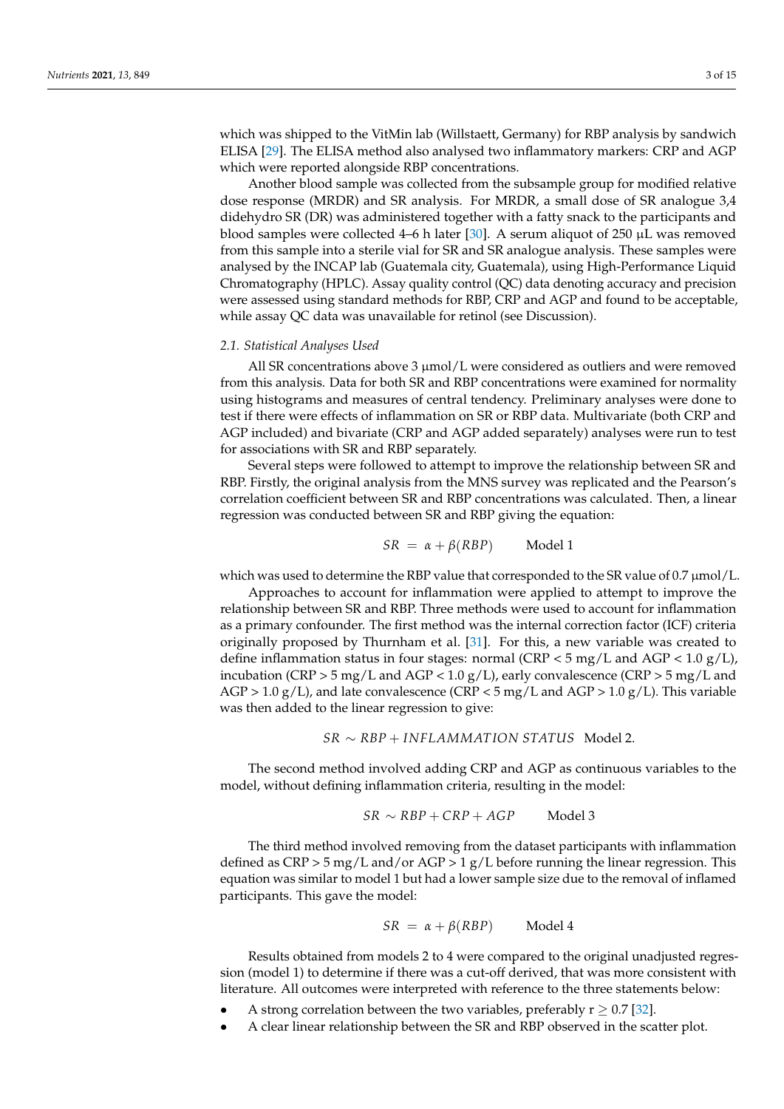which was shipped to the VitMin lab (Willstaett, Germany) for RBP analysis by sandwich ELISA [\[29\]](#page-13-0). The ELISA method also analysed two inflammatory markers: CRP and AGP which were reported alongside RBP concentrations.

Another blood sample was collected from the subsample group for modified relative dose response (MRDR) and SR analysis. For MRDR, a small dose of SR analogue 3,4 didehydro SR (DR) was administered together with a fatty snack to the participants and blood samples were collected 4–6 h later [\[30\]](#page-13-1). A serum aliquot of 250  $\mu$ L was removed from this sample into a sterile vial for SR and SR analogue analysis. These samples were analysed by the INCAP lab (Guatemala city, Guatemala), using High-Performance Liquid Chromatography (HPLC). Assay quality control (QC) data denoting accuracy and precision were assessed using standard methods for RBP, CRP and AGP and found to be acceptable, while assay QC data was unavailable for retinol (see Discussion).

### *2.1. Statistical Analyses Used*

All SR concentrations above 3  $\mu$ mol/L were considered as outliers and were removed from this analysis. Data for both SR and RBP concentrations were examined for normality using histograms and measures of central tendency. Preliminary analyses were done to test if there were effects of inflammation on SR or RBP data. Multivariate (both CRP and AGP included) and bivariate (CRP and AGP added separately) analyses were run to test for associations with SR and RBP separately.

Several steps were followed to attempt to improve the relationship between SR and RBP. Firstly, the original analysis from the MNS survey was replicated and the Pearson's correlation coefficient between SR and RBP concentrations was calculated. Then, a linear regression was conducted between SR and RBP giving the equation:

$$
SR = \alpha + \beta(RBP) \qquad \text{Model 1}
$$

which was used to determine the RBP value that corresponded to the SR value of 0.7  $\mu$ mol/L.

Approaches to account for inflammation were applied to attempt to improve the relationship between SR and RBP. Three methods were used to account for inflammation as a primary confounder. The first method was the internal correction factor (ICF) criteria originally proposed by Thurnham et al. [\[31\]](#page-13-2). For this, a new variable was created to define inflammation status in four stages: normal (CRP < 5 mg/L and AGP < 1.0 g/L), incubation (CRP  $>$  5 mg/L and AGP < 1.0 g/L), early convalescence (CRP  $>$  5 mg/L and  $AGP > 1.0 g/L$ ), and late convalescence (CRP < 5 mg/L and AGP > 1.0 g/L). This variable was then added to the linear regression to give:

## *SR* ∼ *RBP* + *INFLAMMAT ION STATUS* Model 2.

The second method involved adding CRP and AGP as continuous variables to the model, without defining inflammation criteria, resulting in the model:

$$
SR \sim RBP + CRP + AGP
$$
 Model 3

The third method involved removing from the dataset participants with inflammation defined as  $CRP > 5$  mg/L and/or  $AGP > 1$  g/L before running the linear regression. This equation was similar to model 1 but had a lower sample size due to the removal of inflamed participants. This gave the model:

$$
SR = \alpha + \beta(RBP) \qquad \text{Model 4}
$$

Results obtained from models 2 to 4 were compared to the original unadjusted regression (model 1) to determine if there was a cut-off derived, that was more consistent with literature. All outcomes were interpreted with reference to the three statements below:

- A strong correlation between the two variables, preferably  $r \geq 0.7$  [\[32\]](#page-13-3).
- A clear linear relationship between the SR and RBP observed in the scatter plot.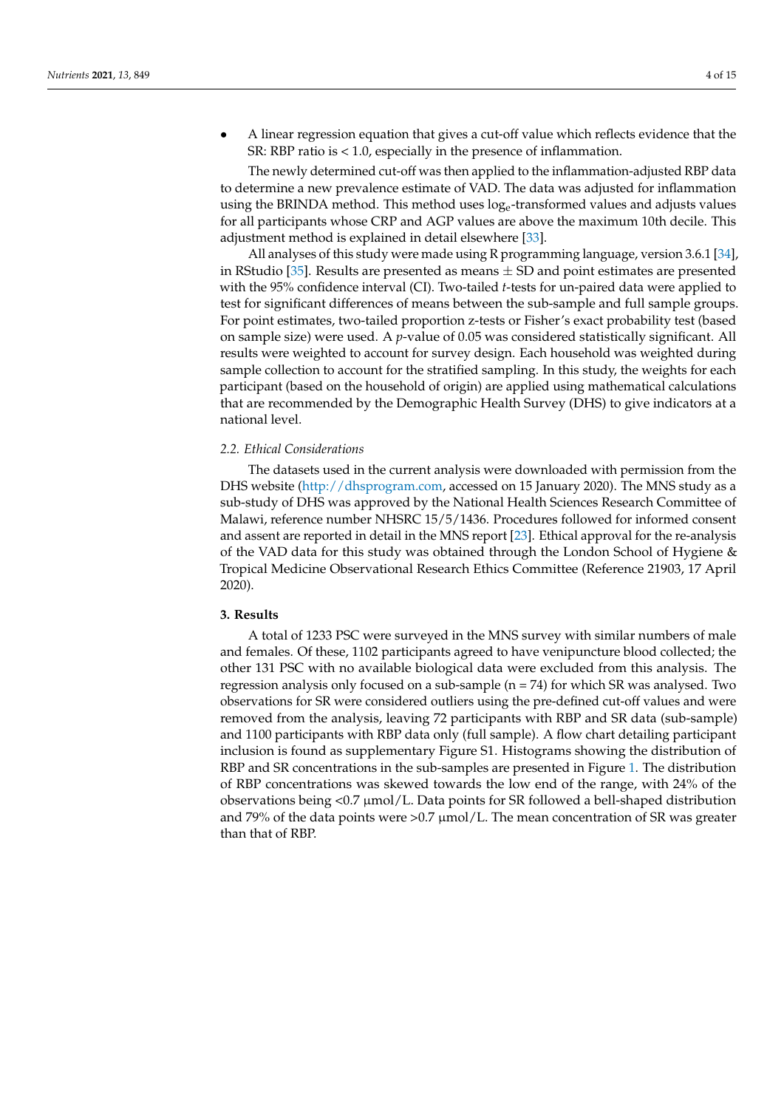• A linear regression equation that gives a cut-off value which reflects evidence that the SR: RBP ratio is < 1.0, especially in the presence of inflammation.

The newly determined cut-off was then applied to the inflammation-adjusted RBP data to determine a new prevalence estimate of VAD. The data was adjusted for inflammation using the BRINDA method. This method uses  $log_e$ -transformed values and adjusts values for all participants whose CRP and AGP values are above the maximum 10th decile. This adjustment method is explained in detail elsewhere [\[33\]](#page-13-4).

All analyses of this study were made using R programming language, version 3.6.1 [\[34\]](#page-13-5), in RStudio [\[35\]](#page-13-6). Results are presented as means  $\pm$  SD and point estimates are presented with the 95% confidence interval (CI). Two-tailed *t*-tests for un-paired data were applied to test for significant differences of means between the sub-sample and full sample groups. For point estimates, two-tailed proportion z-tests or Fisher's exact probability test (based on sample size) were used. A *p*-value of 0.05 was considered statistically significant. All results were weighted to account for survey design. Each household was weighted during sample collection to account for the stratified sampling. In this study, the weights for each participant (based on the household of origin) are applied using mathematical calculations that are recommended by the Demographic Health Survey (DHS) to give indicators at a national level.

# *2.2. Ethical Considerations*

The datasets used in the current analysis were downloaded with permission from the DHS website [\(http://dhsprogram.com,](http://dhsprogram.com) accessed on 15 January 2020). The MNS study as a sub-study of DHS was approved by the National Health Sciences Research Committee of Malawi, reference number NHSRC 15/5/1436. Procedures followed for informed consent and assent are reported in detail in the MNS report [\[23\]](#page-12-17). Ethical approval for the re-analysis of the VAD data for this study was obtained through the London School of Hygiene & Tropical Medicine Observational Research Ethics Committee (Reference 21903, 17 April 2020).

# **3. Results**

A total of 1233 PSC were surveyed in the MNS survey with similar numbers of male and females. Of these, 1102 participants agreed to have venipuncture blood collected; the other 131 PSC with no available biological data were excluded from this analysis. The regression analysis only focused on a sub-sample (n = 74) for which SR was analysed. Two observations for SR were considered outliers using the pre-defined cut-off values and were removed from the analysis, leaving 72 participants with RBP and SR data (sub-sample) and 1100 participants with RBP data only (full sample). A flow chart detailing participant inclusion is found as supplementary Figure S1. Histograms showing the distribution of RBP and SR concentrations in the sub-samples are presented in Figure [1.](#page-4-0) The distribution of RBP concentrations was skewed towards the low end of the range, with 24% of the observations being  $\langle 0.7 \mu \text{mol/L}$ . Data points for SR followed a bell-shaped distribution and 79% of the data points were  $>0.7 \mu$ mol/L. The mean concentration of SR was greater than that of RBP.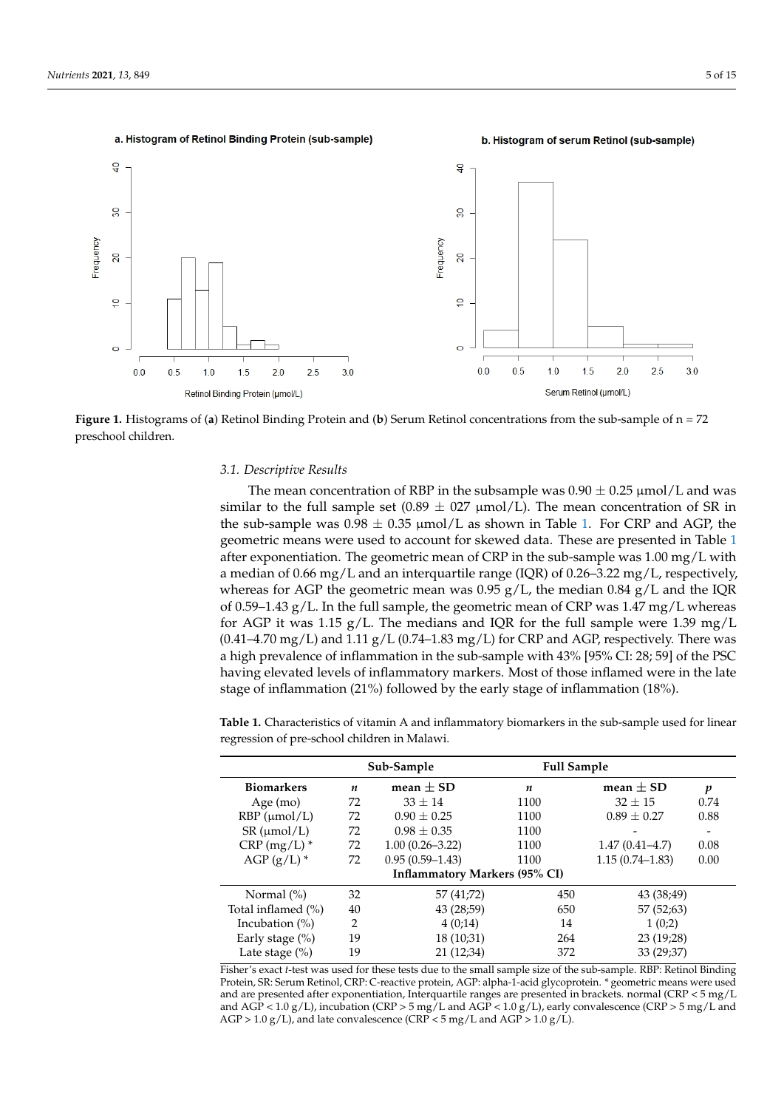<span id="page-4-0"></span>

**Figure 1.** Histograms of (**a**) Retinol Binding Protein and (**b**) Serum Retinol concentrations from the sub-sample of n = 72 preschool children*.* preschool children. **Figure 1.** Histograms of (**a**) Retinol Binding Protein and (**b**) Serum Retinol concentrations from the sub-sample of n = 72

# *3.1. Descriptive Results 3.1. Descriptive Results*

The mean concentration of RBP in the subsample was  $0.90 \pm 0.25$   $\mu$ mol/L and was similar to the full sample set  $(0.89 \pm 0.27 \mu mol/L)$ . The mean concentration of SR in the sub-sample was  $0.98 \pm 0.35$  µmol/L as shown in Table [1.](#page-4-1) For CRP and AGP, the geometric means were used to account for skewed data. These are presented in Table [1](#page-4-1) nentiation. The geometric mean of CRP in the sub-sample was 1.00 mg/L with a method of  $200 \times 500 \times 10^{-10}$ a median of 0.66 mg/L and an interquartile range (IQR) of 0.26–3.22 mg/L, respectively, whereas for AGR the second is maximum of 0.86  $\mu$  the spectrum of 0.84  $\mu$  /L and the IQR of 0.59–1.43 g/L. In the full sample, the geometric mean of CRP was  $1.47 \text{ mg/L}$  whereas for AGP it was  $1.15 \text{ g/L}$ . The medians and IQR for the full sample were  $1.39 \text{ mg/L}$ (0.41–4.70 mg/L) and 1.11  $g/L$  (0.74–1.83 mg/L) for CRP and AGP, respectively. There was a high prevalence of inflammation in the sub-sample with  $43\%$  [95% CI: 28; 59] of the PSC having elevated levels of inflammatory markers. Most of those inflamed were in the late  $\alpha$  of inflammation (21%) followed by the early stage of inflammation (18%) (21%) followed by the early stage of inflammation (18%). stage of inflammation (21%) followed by the early stage of inflammation (18%). after exponentiation. The geometric mean of CRP in the sub-sample was  $1.00 \text{ mg/L}$  with whereas for AGP the geometric mean was  $0.95$  g/L, the median  $0.84$  g/L and the IQR

<span id="page-4-1"></span>**Table 1.** Characteristics of vitamin A and inflammatory biomarkers in the sub-sample used for **Table 1.** Characteristics of vitamin A and inflammatory biomarkers in the sub-sample used for linear linear regression of pre-school children in Malawi*.*  regression of pre-school children in Malawi.

|                            | Sub-Sample |                                      | <b>Full Sample</b> |                     |      |
|----------------------------|------------|--------------------------------------|--------------------|---------------------|------|
| <b>Biomarkers</b>          | n          | mean $\pm$ SD                        | n                  | mean $\pm$ SD       | p    |
| Age $(mo)$                 | 72         | $33 + 14$                            | 1100               | $32 \pm 15$         | 0.74 |
| $RBP$ ( $\mu$ mol/L)       | 72         | $0.90 \pm 0.25$                      | 1100               | $0.89 \pm 0.27$     | 0.88 |
| $SR \, (\mu \text{mol/L})$ | 72         | $0.98 \pm 0.35$                      | 1100               |                     |      |
| $CRP (mg/L)$ *             | 72         | $1.00(0.26 - 3.22)$                  | 1100               | $1.47(0.41 - 4.7)$  | 0.08 |
| $AGP(g/L)$ *               | 72         | $0.95(0.59 - 1.43)$                  | 1100               | $1.15(0.74 - 1.83)$ | 0.00 |
|                            |            | <b>Inflammatory Markers (95% CI)</b> |                    |                     |      |
| Normal $(\% )$             | 32         | 57 (41;72)                           | 450                | 43 (38:49)          |      |
| Total inflamed (%)         | 40         | 43 (28;59)                           | 650                | 57 (52;63)          |      |
| Incubation $(\%)$          | 2          | 4(0,14)                              | 14                 | 1(0;2)              |      |
| Early stage $(\%)$         | 19         | 18(10;31)                            | 264                | 23 (19:28)          |      |
| Late stage $(\% )$         | 19         | 21 (12:34)                           | 372                | 33 (29:37)          |      |

Fisher's exact *t*-test was used for these tests due to the small sample size of the sub-sample. RBP: Retinol Binding Protein, SR: Serum Retinol, CRP: C-reactive protein, AGP: alpha-1-acid glycoprotein. \* geometric means were used<br>and are presented after exponentiation. Interguarile ranges are presented in braskets, normal (CBB < 5 mg / I and are presented after exponentiation, Interquartile ranges are presented in brackets. normal (CRP < 5 mg/L and AGP < 1.0 g/L), incubation (CRP > 5 mg/L and AGP < 1.0 g/L), early convalescence (CRP > 5 mg/L and  $AGP > 1.0 g/L$ , and late convalescence (CRP < 5 mg/L and AGP > 1.0 g/L).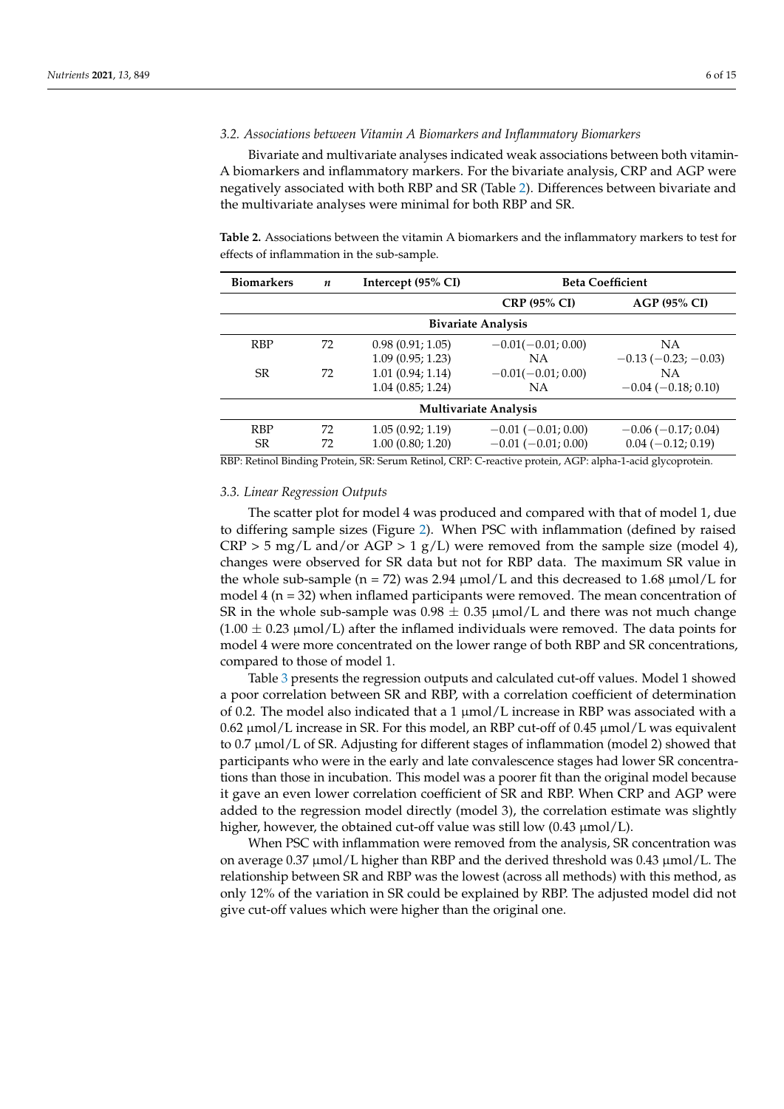# *3.2. Associations between Vitamin A Biomarkers and Inflammatory Biomarkers*

Bivariate and multivariate analyses indicated weak associations between both vitamin-A biomarkers and inflammatory markers. For the bivariate analysis, CRP and AGP were negatively associated with both RBP and SR (Table [2\)](#page-5-0). Differences between bivariate and the multivariate analyses were minimal for both RBP and SR.

<span id="page-5-0"></span>**Table 2.** Associations between the vitamin A biomarkers and the inflammatory markers to test for effects of inflammation in the sub-sample.

| <b>Biomarkers</b> | $\boldsymbol{n}$ | Intercept (95% CI) | <b>Beta Coefficient</b>      |                               |  |
|-------------------|------------------|--------------------|------------------------------|-------------------------------|--|
|                   |                  |                    | <b>CRP (95% CI)</b>          | <b>AGP (95% CI)</b>           |  |
|                   |                  |                    | <b>Bivariate Analysis</b>    |                               |  |
| <b>RBP</b>        | 72               | 0.98(0.91; 1.05)   | $-0.01(-0.01; 0.00)$         | <b>NA</b>                     |  |
|                   |                  | 1.09(0.95; 1.23)   | ΝA                           | $-0.13$ ( $-0.23$ ; $-0.03$ ) |  |
| <b>SR</b>         | 72               | 1.01(0.94; 1.14)   | $-0.01(-0.01; 0.00)$         | <b>NA</b>                     |  |
|                   |                  | 1.04(0.85; 1.24)   | <b>NA</b>                    | $-0.04(-0.18; 0.10)$          |  |
|                   |                  |                    | <b>Multivariate Analysis</b> |                               |  |
| <b>RBP</b>        | 72               | 1.05(0.92; 1.19)   | $-0.01$ ( $-0.01$ ; 0.00)    | $-0.06(-0.17; 0.04)$          |  |
| <b>SR</b>         | 72               | 1.00(0.80; 1.20)   | $-0.01$ ( $-0.01$ ; 0.00)    | $0.04 (-0.12; 0.19)$          |  |

RBP: Retinol Binding Protein, SR: Serum Retinol, CRP: C-reactive protein, AGP: alpha-1-acid glycoprotein.

#### *3.3. Linear Regression Outputs*

The scatter plot for model 4 was produced and compared with that of model 1, due to differing sample sizes (Figure [2\)](#page-6-0). When PSC with inflammation (defined by raised  $CRP > 5$  mg/L and/or AGP  $> 1$  g/L) were removed from the sample size (model 4), changes were observed for SR data but not for RBP data. The maximum SR value in the whole sub-sample ( $n = 72$ ) was 2.94  $\mu$ mol/L and this decreased to 1.68  $\mu$ mol/L for model 4 (n = 32) when inflamed participants were removed. The mean concentration of SR in the whole sub-sample was  $0.98 \pm 0.35$  µmol/L and there was not much change  $(1.00 \pm 0.23 \,\mu\text{mol/L})$  after the inflamed individuals were removed. The data points for model 4 were more concentrated on the lower range of both RBP and SR concentrations, compared to those of model 1.

Table [3](#page-6-1) presents the regression outputs and calculated cut-off values. Model 1 showed a poor correlation between SR and RBP, with a correlation coefficient of determination of 0.2. The model also indicated that a 1  $\mu$ mol/L increase in RBP was associated with a  $0.62 \mu$  mol/L increase in SR. For this model, an RBP cut-off of 0.45  $\mu$ mol/L was equivalent to 0.7 µmol/L of SR. Adjusting for different stages of inflammation (model 2) showed that participants who were in the early and late convalescence stages had lower SR concentrations than those in incubation. This model was a poorer fit than the original model because it gave an even lower correlation coefficient of SR and RBP. When CRP and AGP were added to the regression model directly (model 3), the correlation estimate was slightly higher, however, the obtained cut-off value was still low  $(0.43 \mu \text{mol/L})$ .

When PSC with inflammation were removed from the analysis, SR concentration was on average  $0.37 \mu \text{mol/L}$  higher than RBP and the derived threshold was  $0.43 \mu \text{mol/L}$ . The relationship between SR and RBP was the lowest (across all methods) with this method, as only 12% of the variation in SR could be explained by RBP. The adjusted model did not give cut-off values which were higher than the original one.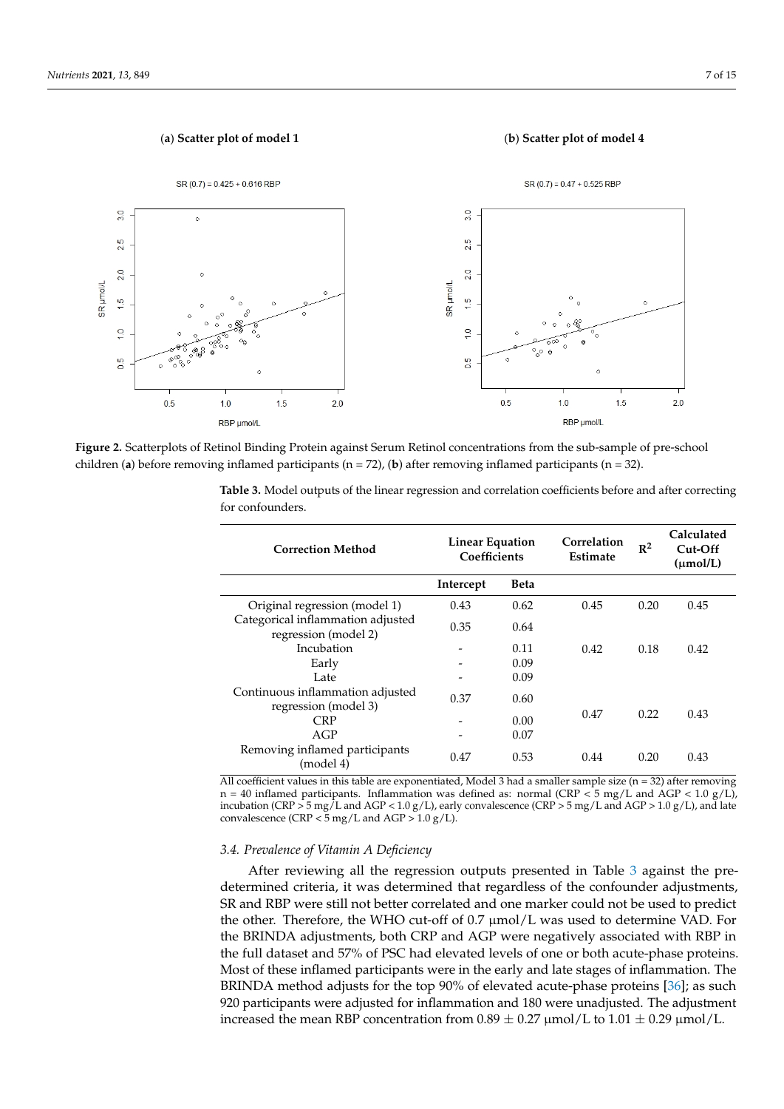

<span id="page-6-0"></span>

children (a) before removing inflamed participants ( $n = 72$ ), (b) after removing inflamed participants ( $n = 32$ ). **Figure 2.** Scatterplots of Retinol Binding Protein against Serum Retinol concentrations from the sub-sample of pre-school

children (**a**) before removing inflamed participants (n = 72), (**b**) after removing inflamed participants (n = 32)*.*

| <b>Correction Method</b>                                  | <b>Linear Equation</b><br>Coefficients |             | Correlation<br>Estimate | $\mathbb{R}^2$ | Calculated<br>Cut-Off<br>$(\mu mol/L)$ |
|-----------------------------------------------------------|----------------------------------------|-------------|-------------------------|----------------|----------------------------------------|
|                                                           | Intercept                              | <b>Beta</b> |                         |                |                                        |
| Original regression (model 1)                             | 0.43                                   | 0.62        | 0.45                    | 0.20           | 0.45                                   |
| Categorical inflammation adjusted<br>regression (model 2) | 0.35                                   | 0.64        |                         |                |                                        |
| Incubation                                                | $\qquad \qquad$                        | 0.11        | 0.42                    | 0.18           | 0.42                                   |
| Early                                                     |                                        | 0.09        |                         |                |                                        |
| Late                                                      |                                        | 0.09        |                         |                |                                        |
| Continuous inflammation adjusted<br>regression (model 3)  | 0.37                                   | 0.60        |                         |                |                                        |
| <b>CRP</b>                                                |                                        | 0.00        | 0.47                    | 0.22           | 0.43                                   |
| AGP                                                       |                                        | 0.07        |                         |                |                                        |
| Removing inflamed participants<br>(model 4)               | 0.47                                   | 0.53        | 0.44                    | 0.20           | 0.43                                   |

<span id="page-6-1"></span> $\mathbf 3$  presents the regression outputs and calculated cut-off values. Model 1  $\mathbf 1$  and  $\mathbf 2$  values. Model 1  $\mathbf 1$  and  $\mathbf 2$  and  $\mathbf 3$  and  $\mathbf 1$  and  $\mathbf 1$  and  $\mathbf 1$  and  $\mathbf 1$  and  $\mathbf 1$  and  $\mathbf 1$  an **Table 3.** Model outputs of the linear regression and correlation coefficients before and after correcting for confounders.

All coefficient values in this table are exponentiated, Model 3 had a smaller sample size (n = 32) after removing n = 40 inflamed participants. Inflammation was defined as: normal (CRP < 5 mg/L and AGP < 1.0 g/L), **Correction Method Linear Equation Coef-**convalescence (CRP < 5 mg/L and AGP > 1.0 g/L). incubation (CRP > 5 mg/L and AGP < 1.0 g/L), early convalescence (CRP > 5 mg/L and AGP > 1.0 g/L), and late<br>convalescence (CRP < 5 mg/L and AGP > 1.0 g/L).

#### **ficients**  *3.4. Prevalence of Vitamin A Deficiency*

After reviewing all the regression outputs presented in Table [3](#page-6-1) against the predetermined criteria, it was determined that regardless of the confounder adjustments,  $SR$  and RBP were still not better correlated and one marker could not be used to predict the other. Therefore, the WHO cut-off of 0.7  $\mu$ mol/L was used to determine VAD. For the BRINDA adjustments, both CRP and AGP were negatively associated with RBP in the full dataset and 57% of PSC had elevated levels of one or both acute-phase proteins.<br>Manufacture of the contract of the contract of the contract of the contract of the contract of the contract of Most of these inflamed participants were in the early and late stages of inflammation. The<br>RPLNDA mathed adjusts for the top 00% of classification above matrice  $[2(1.82 \times 10^{-19})]$ Early - 0.09 920 participants were adjusted for inflammation and 180 were unadjusted. The adjustment increased the mean RBP concentration from  $0.89 \pm 0.27 \mu$  mol/L to  $1.01 \pm 0.29 \mu$  mol/L. BRINDA method adjusts for the top 90% of elevated acute-phase proteins [\[36\]](#page-13-7); as such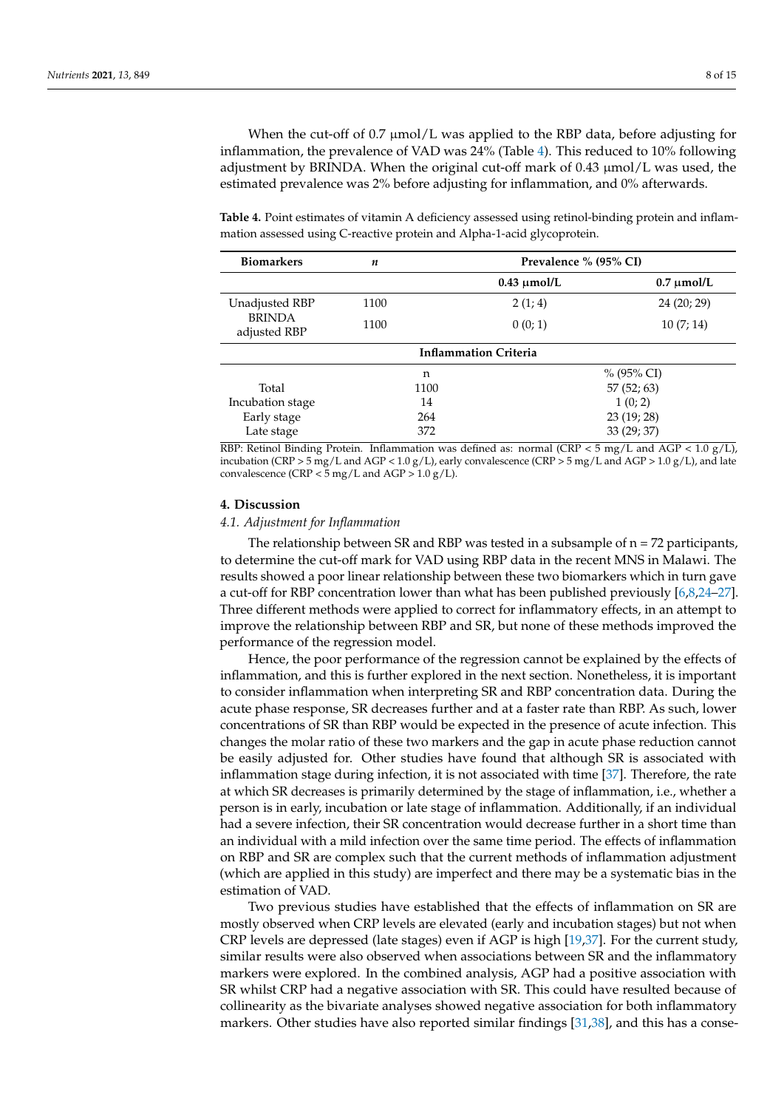When the cut-off of 0.7  $\mu$ mol/L was applied to the RBP data, before adjusting for inflammation, the prevalence of VAD was 24% (Table [4\)](#page-7-0). This reduced to 10% following adjustment by BRINDA. When the original cut-off mark of  $0.43 \mu$ mol/L was used, the estimated prevalence was 2% before adjusting for inflammation, and 0% afterwards.

<span id="page-7-0"></span>**Table 4.** Point estimates of vitamin A deficiency assessed using retinol-binding protein and inflammation assessed using C-reactive protein and Alpha-1-acid glycoprotein.

| <b>Biomarkers</b>             | n    | Prevalence % (95% CI)        |                 |  |  |
|-------------------------------|------|------------------------------|-----------------|--|--|
|                               |      | $0.43 \mu$ mol/L             | $0.7 \mu$ mol/L |  |  |
| Unadjusted RBP                | 1100 | 2(1; 4)                      | 24 (20; 29)     |  |  |
| <b>BRINDA</b><br>adjusted RBP | 1100 | 0(0; 1)                      | 10(7; 14)       |  |  |
|                               |      | <b>Inflammation Criteria</b> |                 |  |  |
|                               | n    |                              | % (95% CI)      |  |  |
| Total                         | 1100 | 57(52; 63)                   |                 |  |  |
| Incubation stage              | 14   |                              | 1(0; 2)         |  |  |
| Early stage                   | 264  |                              | 23(19; 28)      |  |  |
| Late stage                    | 372  |                              | 33 (29; 37)     |  |  |

RBP: Retinol Binding Protein. Inflammation was defined as: normal (CRP < 5 mg/L and AGP < 1.0 g/L), incubation (CRP > 5 mg/L and AGP < 1.0 g/L), early convalescence (CRP > 5 mg/L and AGP > 1.0 g/L), and late convalescence (CRP  $<$  5 mg/L and AGP  $>$  1.0 g/L).

#### **4. Discussion**

#### *4.1. Adjustment for Inflammation*

The relationship between SR and RBP was tested in a subsample of  $n = 72$  participants, to determine the cut-off mark for VAD using RBP data in the recent MNS in Malawi. The results showed a poor linear relationship between these two biomarkers which in turn gave a cut-off for RBP concentration lower than what has been published previously [\[6,](#page-12-2)[8](#page-12-4)[,24](#page-12-18)[–27\]](#page-12-20). Three different methods were applied to correct for inflammatory effects, in an attempt to improve the relationship between RBP and SR, but none of these methods improved the performance of the regression model.

Hence, the poor performance of the regression cannot be explained by the effects of inflammation, and this is further explored in the next section. Nonetheless, it is important to consider inflammation when interpreting SR and RBP concentration data. During the acute phase response, SR decreases further and at a faster rate than RBP. As such, lower concentrations of SR than RBP would be expected in the presence of acute infection. This changes the molar ratio of these two markers and the gap in acute phase reduction cannot be easily adjusted for. Other studies have found that although SR is associated with inflammation stage during infection, it is not associated with time [\[37\]](#page-13-8). Therefore, the rate at which SR decreases is primarily determined by the stage of inflammation, i.e., whether a person is in early, incubation or late stage of inflammation. Additionally, if an individual had a severe infection, their SR concentration would decrease further in a short time than an individual with a mild infection over the same time period. The effects of inflammation on RBP and SR are complex such that the current methods of inflammation adjustment (which are applied in this study) are imperfect and there may be a systematic bias in the estimation of VAD.

Two previous studies have established that the effects of inflammation on SR are mostly observed when CRP levels are elevated (early and incubation stages) but not when CRP levels are depressed (late stages) even if AGP is high [\[19,](#page-12-13)[37\]](#page-13-8). For the current study, similar results were also observed when associations between SR and the inflammatory markers were explored. In the combined analysis, AGP had a positive association with SR whilst CRP had a negative association with SR. This could have resulted because of collinearity as the bivariate analyses showed negative association for both inflammatory markers. Other studies have also reported similar findings [\[31,](#page-13-2)[38\]](#page-13-9), and this has a conse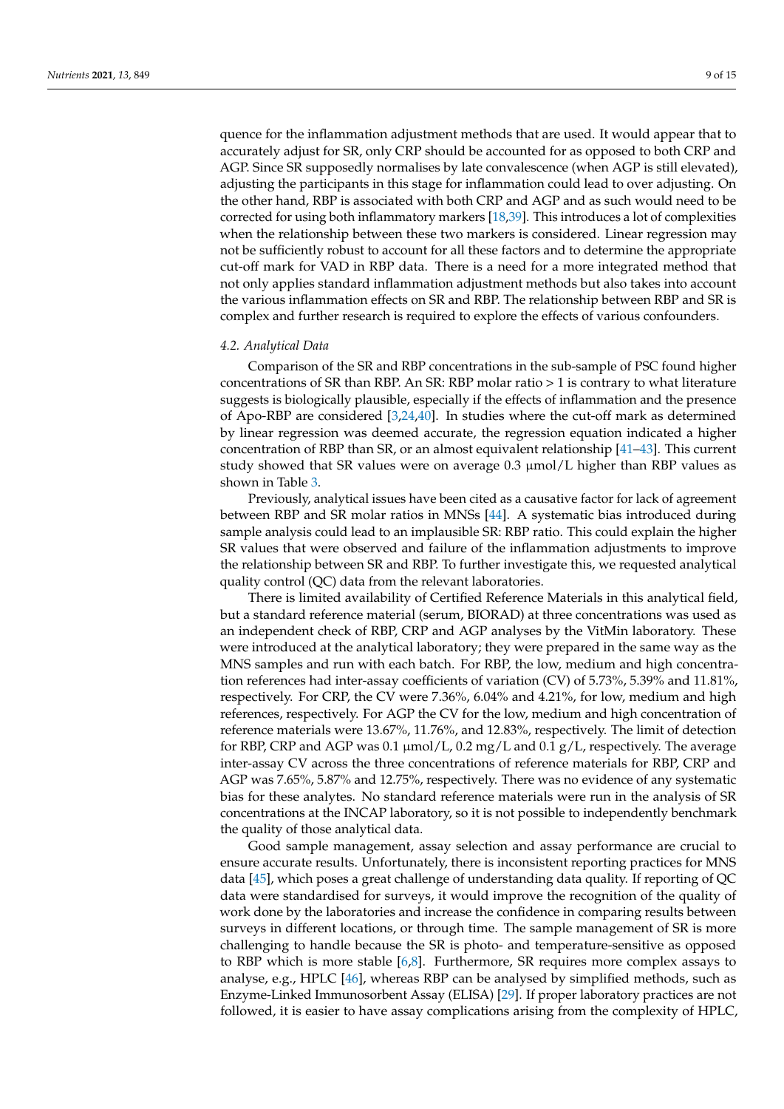quence for the inflammation adjustment methods that are used. It would appear that to accurately adjust for SR, only CRP should be accounted for as opposed to both CRP and AGP. Since SR supposedly normalises by late convalescence (when AGP is still elevated), adjusting the participants in this stage for inflammation could lead to over adjusting. On the other hand, RBP is associated with both CRP and AGP and as such would need to be corrected for using both inflammatory markers [\[18](#page-12-12)[,39\]](#page-13-10). This introduces a lot of complexities when the relationship between these two markers is considered. Linear regression may not be sufficiently robust to account for all these factors and to determine the appropriate cut-off mark for VAD in RBP data. There is a need for a more integrated method that not only applies standard inflammation adjustment methods but also takes into account the various inflammation effects on SR and RBP. The relationship between RBP and SR is complex and further research is required to explore the effects of various confounders.

### *4.2. Analytical Data*

Comparison of the SR and RBP concentrations in the sub-sample of PSC found higher concentrations of SR than RBP. An SR: RBP molar ratio > 1 is contrary to what literature suggests is biologically plausible, especially if the effects of inflammation and the presence of Apo-RBP are considered [\[3](#page-11-2)[,24,](#page-12-18)[40\]](#page-13-11). In studies where the cut-off mark as determined by linear regression was deemed accurate, the regression equation indicated a higher concentration of RBP than SR, or an almost equivalent relationship [\[41](#page-13-12)[–43\]](#page-13-13). This current study showed that SR values were on average  $0.3 \mu$ mol/L higher than RBP values as shown in Table [3.](#page-6-1)

Previously, analytical issues have been cited as a causative factor for lack of agreement between RBP and SR molar ratios in MNSs [\[44\]](#page-13-14). A systematic bias introduced during sample analysis could lead to an implausible SR: RBP ratio. This could explain the higher SR values that were observed and failure of the inflammation adjustments to improve the relationship between SR and RBP. To further investigate this, we requested analytical quality control (QC) data from the relevant laboratories.

There is limited availability of Certified Reference Materials in this analytical field, but a standard reference material (serum, BIORAD) at three concentrations was used as an independent check of RBP, CRP and AGP analyses by the VitMin laboratory. These were introduced at the analytical laboratory; they were prepared in the same way as the MNS samples and run with each batch. For RBP, the low, medium and high concentration references had inter-assay coefficients of variation (CV) of 5.73%, 5.39% and 11.81%, respectively. For CRP, the CV were 7.36%, 6.04% and 4.21%, for low, medium and high references, respectively. For AGP the CV for the low, medium and high concentration of reference materials were 13.67%, 11.76%, and 12.83%, respectively. The limit of detection for RBP, CRP and AGP was 0.1  $\mu$ mol/L, 0.2 mg/L and 0.1 g/L, respectively. The average inter-assay CV across the three concentrations of reference materials for RBP, CRP and AGP was 7.65%, 5.87% and 12.75%, respectively. There was no evidence of any systematic bias for these analytes. No standard reference materials were run in the analysis of SR concentrations at the INCAP laboratory, so it is not possible to independently benchmark the quality of those analytical data.

Good sample management, assay selection and assay performance are crucial to ensure accurate results. Unfortunately, there is inconsistent reporting practices for MNS data [\[45\]](#page-13-15), which poses a great challenge of understanding data quality. If reporting of QC data were standardised for surveys, it would improve the recognition of the quality of work done by the laboratories and increase the confidence in comparing results between surveys in different locations, or through time. The sample management of SR is more challenging to handle because the SR is photo- and temperature-sensitive as opposed to RBP which is more stable [\[6](#page-12-2)[,8\]](#page-12-4). Furthermore, SR requires more complex assays to analyse, e.g., HPLC [\[46\]](#page-13-16), whereas RBP can be analysed by simplified methods, such as Enzyme-Linked Immunosorbent Assay (ELISA) [\[29\]](#page-13-0). If proper laboratory practices are not followed, it is easier to have assay complications arising from the complexity of HPLC,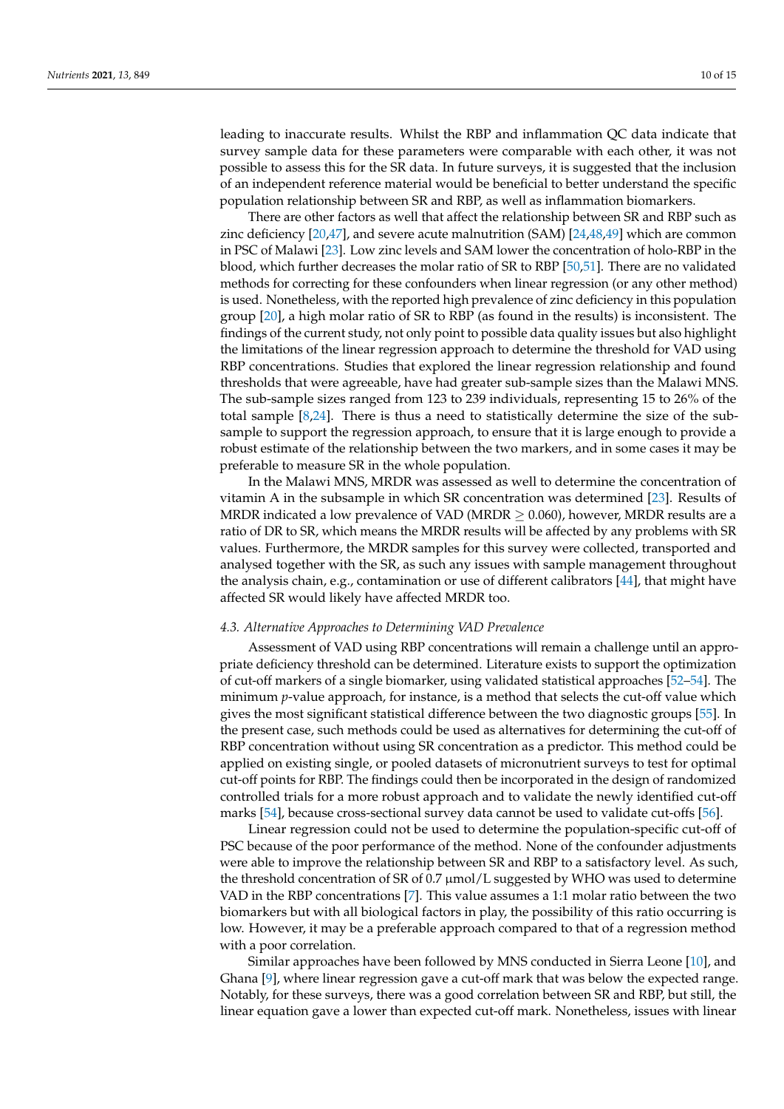leading to inaccurate results. Whilst the RBP and inflammation QC data indicate that survey sample data for these parameters were comparable with each other, it was not possible to assess this for the SR data. In future surveys, it is suggested that the inclusion of an independent reference material would be beneficial to better understand the specific population relationship between SR and RBP, as well as inflammation biomarkers.

There are other factors as well that affect the relationship between SR and RBP such as zinc deficiency [\[20,](#page-12-14)[47\]](#page-13-17), and severe acute malnutrition (SAM) [\[24,](#page-12-18)[48,](#page-13-18)[49\]](#page-13-19) which are common in PSC of Malawi [\[23\]](#page-12-17). Low zinc levels and SAM lower the concentration of holo-RBP in the blood, which further decreases the molar ratio of SR to RBP [\[50,](#page-13-20)[51\]](#page-13-21). There are no validated methods for correcting for these confounders when linear regression (or any other method) is used. Nonetheless, with the reported high prevalence of zinc deficiency in this population group [\[20\]](#page-12-14), a high molar ratio of SR to RBP (as found in the results) is inconsistent. The findings of the current study, not only point to possible data quality issues but also highlight the limitations of the linear regression approach to determine the threshold for VAD using RBP concentrations. Studies that explored the linear regression relationship and found thresholds that were agreeable, have had greater sub-sample sizes than the Malawi MNS. The sub-sample sizes ranged from 123 to 239 individuals, representing 15 to 26% of the total sample [\[8,](#page-12-4)[24\]](#page-12-18). There is thus a need to statistically determine the size of the subsample to support the regression approach, to ensure that it is large enough to provide a robust estimate of the relationship between the two markers, and in some cases it may be preferable to measure SR in the whole population.

In the Malawi MNS, MRDR was assessed as well to determine the concentration of vitamin A in the subsample in which SR concentration was determined [\[23\]](#page-12-17). Results of MRDR indicated a low prevalence of VAD (MRDR  $\geq$  0.060), however, MRDR results are a ratio of DR to SR, which means the MRDR results will be affected by any problems with SR values. Furthermore, the MRDR samples for this survey were collected, transported and analysed together with the SR, as such any issues with sample management throughout the analysis chain, e.g., contamination or use of different calibrators [\[44\]](#page-13-14), that might have affected SR would likely have affected MRDR too.

### *4.3. Alternative Approaches to Determining VAD Prevalence*

Assessment of VAD using RBP concentrations will remain a challenge until an appropriate deficiency threshold can be determined. Literature exists to support the optimization of cut-off markers of a single biomarker, using validated statistical approaches [\[52](#page-13-22)[–54\]](#page-13-23). The minimum *p*-value approach, for instance, is a method that selects the cut-off value which gives the most significant statistical difference between the two diagnostic groups [\[55\]](#page-13-24). In the present case, such methods could be used as alternatives for determining the cut-off of RBP concentration without using SR concentration as a predictor. This method could be applied on existing single, or pooled datasets of micronutrient surveys to test for optimal cut-off points for RBP. The findings could then be incorporated in the design of randomized controlled trials for a more robust approach and to validate the newly identified cut-off marks [\[54\]](#page-13-23), because cross-sectional survey data cannot be used to validate cut-offs [\[56\]](#page-14-0).

Linear regression could not be used to determine the population-specific cut-off of PSC because of the poor performance of the method. None of the confounder adjustments were able to improve the relationship between SR and RBP to a satisfactory level. As such, the threshold concentration of SR of 0.7  $\mu$ mol/L suggested by WHO was used to determine VAD in the RBP concentrations [\[7\]](#page-12-3). This value assumes a 1:1 molar ratio between the two biomarkers but with all biological factors in play, the possibility of this ratio occurring is low. However, it may be a preferable approach compared to that of a regression method with a poor correlation.

Similar approaches have been followed by MNS conducted in Sierra Leone [\[10\]](#page-12-6), and Ghana [\[9\]](#page-12-5), where linear regression gave a cut-off mark that was below the expected range. Notably, for these surveys, there was a good correlation between SR and RBP, but still, the linear equation gave a lower than expected cut-off mark. Nonetheless, issues with linear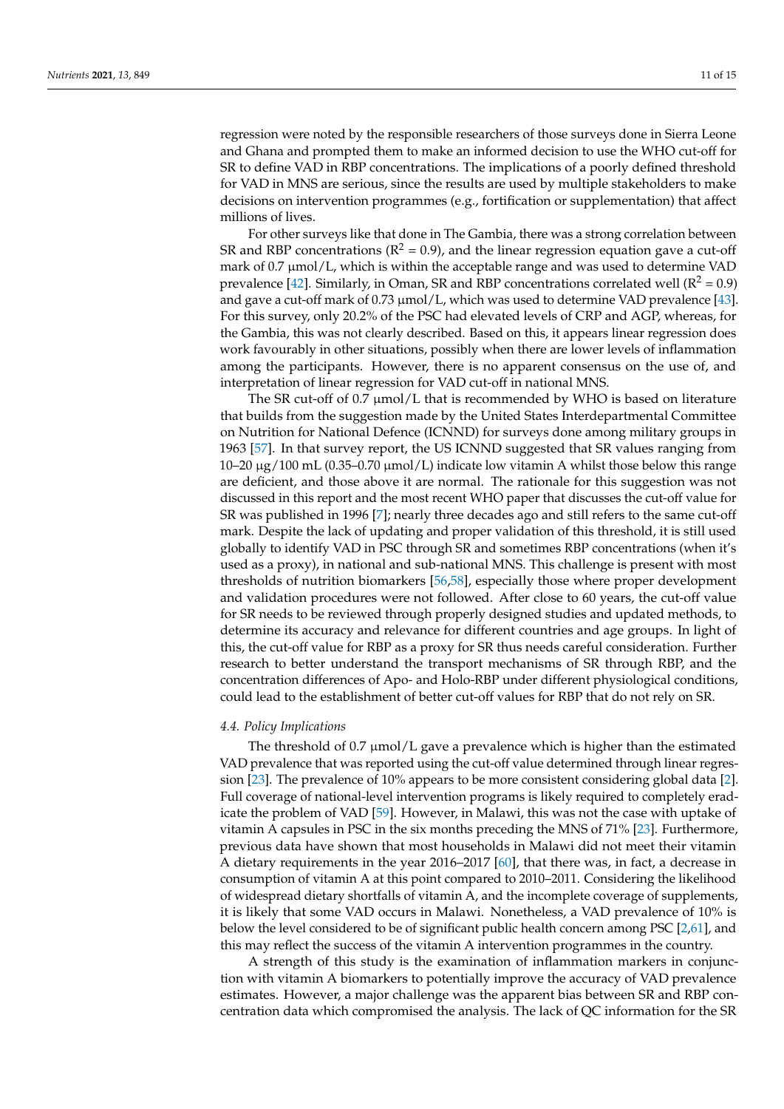regression were noted by the responsible researchers of those surveys done in Sierra Leone and Ghana and prompted them to make an informed decision to use the WHO cut-off for SR to define VAD in RBP concentrations. The implications of a poorly defined threshold for VAD in MNS are serious, since the results are used by multiple stakeholders to make decisions on intervention programmes (e.g., fortification or supplementation) that affect millions of lives.

For other surveys like that done in The Gambia, there was a strong correlation between SR and RBP concentrations ( $R^2 = 0.9$ ), and the linear regression equation gave a cut-off mark of  $0.7 \mu$ mol/L, which is within the acceptable range and was used to determine VAD prevalence [\[42\]](#page-13-25). Similarly, in Oman, SR and RBP concentrations correlated well ( $R^2 = 0.9$ ) and gave a cut-off mark of 0.73  $\mu$ mol/L, which was used to determine VAD prevalence [\[43\]](#page-13-13). For this survey, only 20.2% of the PSC had elevated levels of CRP and AGP, whereas, for the Gambia, this was not clearly described. Based on this, it appears linear regression does work favourably in other situations, possibly when there are lower levels of inflammation among the participants. However, there is no apparent consensus on the use of, and interpretation of linear regression for VAD cut-off in national MNS.

The SR cut-off of 0.7 µmol/L that is recommended by WHO is based on literature that builds from the suggestion made by the United States Interdepartmental Committee on Nutrition for National Defence (ICNND) for surveys done among military groups in 1963 [\[57\]](#page-14-1). In that survey report, the US ICNND suggested that SR values ranging from 10–20  $\mu$ g/100 mL (0.35–0.70  $\mu$ mol/L) indicate low vitamin A whilst those below this range are deficient, and those above it are normal. The rationale for this suggestion was not discussed in this report and the most recent WHO paper that discusses the cut-off value for SR was published in 1996 [\[7\]](#page-12-3); nearly three decades ago and still refers to the same cut-off mark. Despite the lack of updating and proper validation of this threshold, it is still used globally to identify VAD in PSC through SR and sometimes RBP concentrations (when it's used as a proxy), in national and sub-national MNS. This challenge is present with most thresholds of nutrition biomarkers [\[56](#page-14-0)[,58\]](#page-14-2), especially those where proper development and validation procedures were not followed. After close to 60 years, the cut-off value for SR needs to be reviewed through properly designed studies and updated methods, to determine its accuracy and relevance for different countries and age groups. In light of this, the cut-off value for RBP as a proxy for SR thus needs careful consideration. Further research to better understand the transport mechanisms of SR through RBP, and the concentration differences of Apo- and Holo-RBP under different physiological conditions, could lead to the establishment of better cut-off values for RBP that do not rely on SR.

### *4.4. Policy Implications*

The threshold of 0.7  $\mu$ mol/L gave a prevalence which is higher than the estimated VAD prevalence that was reported using the cut-off value determined through linear regression [\[23\]](#page-12-17). The prevalence of 10% appears to be more consistent considering global data [\[2\]](#page-11-1). Full coverage of national-level intervention programs is likely required to completely eradicate the problem of VAD [\[59\]](#page-14-3). However, in Malawi, this was not the case with uptake of vitamin A capsules in PSC in the six months preceding the MNS of 71% [\[23\]](#page-12-17). Furthermore, previous data have shown that most households in Malawi did not meet their vitamin A dietary requirements in the year 2016–2017 [\[60\]](#page-14-4), that there was, in fact, a decrease in consumption of vitamin A at this point compared to 2010–2011. Considering the likelihood of widespread dietary shortfalls of vitamin A, and the incomplete coverage of supplements, it is likely that some VAD occurs in Malawi. Nonetheless, a VAD prevalence of 10% is below the level considered to be of significant public health concern among PSC [\[2](#page-11-1)[,61\]](#page-14-5), and this may reflect the success of the vitamin A intervention programmes in the country.

A strength of this study is the examination of inflammation markers in conjunction with vitamin A biomarkers to potentially improve the accuracy of VAD prevalence estimates. However, a major challenge was the apparent bias between SR and RBP concentration data which compromised the analysis. The lack of QC information for the SR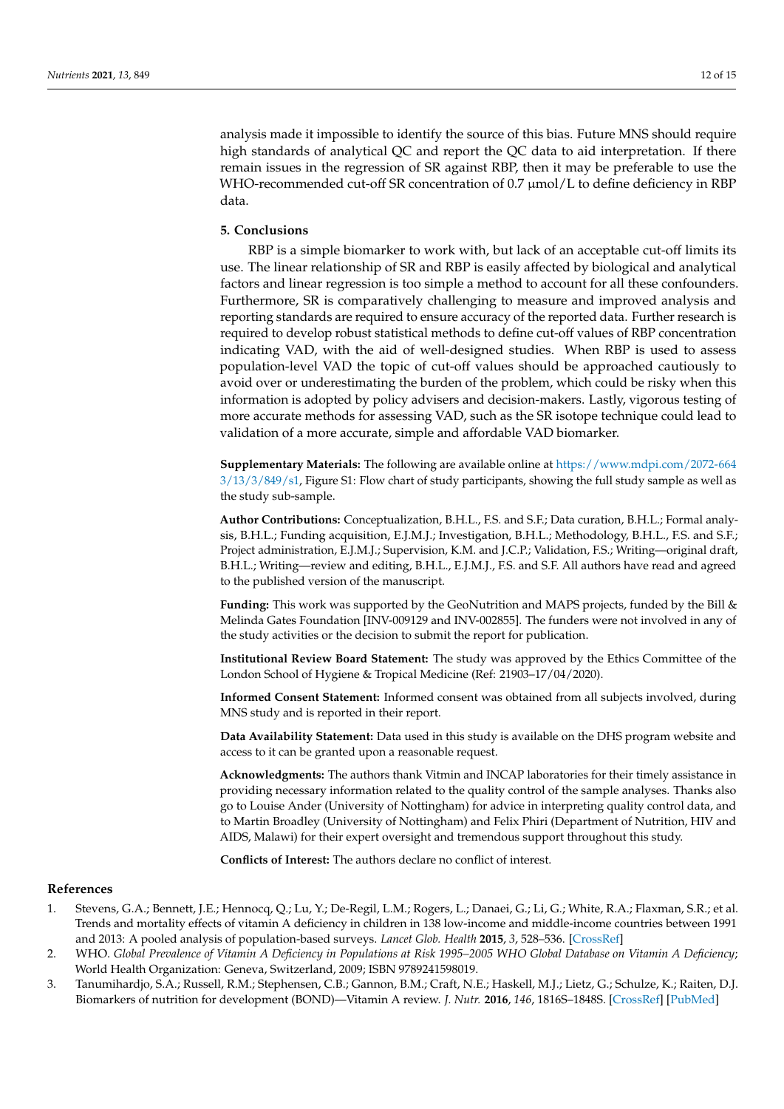analysis made it impossible to identify the source of this bias. Future MNS should require high standards of analytical QC and report the QC data to aid interpretation. If there remain issues in the regression of SR against RBP, then it may be preferable to use the WHO-recommended cut-off SR concentration of 0.7  $\mu$ mol/L to define deficiency in RBP data.

# **5. Conclusions**

RBP is a simple biomarker to work with, but lack of an acceptable cut-off limits its use. The linear relationship of SR and RBP is easily affected by biological and analytical factors and linear regression is too simple a method to account for all these confounders. Furthermore, SR is comparatively challenging to measure and improved analysis and reporting standards are required to ensure accuracy of the reported data. Further research is required to develop robust statistical methods to define cut-off values of RBP concentration indicating VAD, with the aid of well-designed studies. When RBP is used to assess population-level VAD the topic of cut-off values should be approached cautiously to avoid over or underestimating the burden of the problem, which could be risky when this information is adopted by policy advisers and decision-makers. Lastly, vigorous testing of more accurate methods for assessing VAD, such as the SR isotope technique could lead to validation of a more accurate, simple and affordable VAD biomarker.

**Supplementary Materials:** The following are available online at [https://www.mdpi.com/2072-664](https://www.mdpi.com/2072-6643/13/3/849/s1) [3/13/3/849/s1,](https://www.mdpi.com/2072-6643/13/3/849/s1) Figure S1: Flow chart of study participants, showing the full study sample as well as the study sub-sample.

**Author Contributions:** Conceptualization, B.H.L., F.S. and S.F.; Data curation, B.H.L.; Formal analysis, B.H.L.; Funding acquisition, E.J.M.J.; Investigation, B.H.L.; Methodology, B.H.L., F.S. and S.F.; Project administration, E.J.M.J.; Supervision, K.M. and J.C.P.; Validation, F.S.; Writing—original draft, B.H.L.; Writing—review and editing, B.H.L., E.J.M.J., F.S. and S.F. All authors have read and agreed to the published version of the manuscript.

Funding: This work was supported by the GeoNutrition and MAPS projects, funded by the Bill & Melinda Gates Foundation [INV-009129 and INV-002855]. The funders were not involved in any of the study activities or the decision to submit the report for publication.

**Institutional Review Board Statement:** The study was approved by the Ethics Committee of the London School of Hygiene & Tropical Medicine (Ref: 21903–17/04/2020).

**Informed Consent Statement:** Informed consent was obtained from all subjects involved, during MNS study and is reported in their report.

**Data Availability Statement:** Data used in this study is available on the DHS program website and access to it can be granted upon a reasonable request.

**Acknowledgments:** The authors thank Vitmin and INCAP laboratories for their timely assistance in providing necessary information related to the quality control of the sample analyses. Thanks also go to Louise Ander (University of Nottingham) for advice in interpreting quality control data, and to Martin Broadley (University of Nottingham) and Felix Phiri (Department of Nutrition, HIV and AIDS, Malawi) for their expert oversight and tremendous support throughout this study.

**Conflicts of Interest:** The authors declare no conflict of interest.

### **References**

- <span id="page-11-0"></span>1. Stevens, G.A.; Bennett, J.E.; Hennocq, Q.; Lu, Y.; De-Regil, L.M.; Rogers, L.; Danaei, G.; Li, G.; White, R.A.; Flaxman, S.R.; et al. Trends and mortality effects of vitamin A deficiency in children in 138 low-income and middle-income countries between 1991 and 2013: A pooled analysis of population-based surveys. *Lancet Glob. Health* **2015**, *3*, 528–536. [\[CrossRef\]](http://doi.org/10.1016/S2214-109X(15)00039-X)
- <span id="page-11-1"></span>2. WHO. *Global Prevalence of Vitamin A Deficiency in Populations at Risk 1995–2005 WHO Global Database on Vitamin A Deficiency*; World Health Organization: Geneva, Switzerland, 2009; ISBN 9789241598019.
- <span id="page-11-2"></span>3. Tanumihardjo, S.A.; Russell, R.M.; Stephensen, C.B.; Gannon, B.M.; Craft, N.E.; Haskell, M.J.; Lietz, G.; Schulze, K.; Raiten, D.J. Biomarkers of nutrition for development (BOND)—Vitamin A review. *J. Nutr.* **2016**, *146*, 1816S–1848S. [\[CrossRef\]](http://doi.org/10.3945/jn.115.229708) [\[PubMed\]](http://www.ncbi.nlm.nih.gov/pubmed/27511929)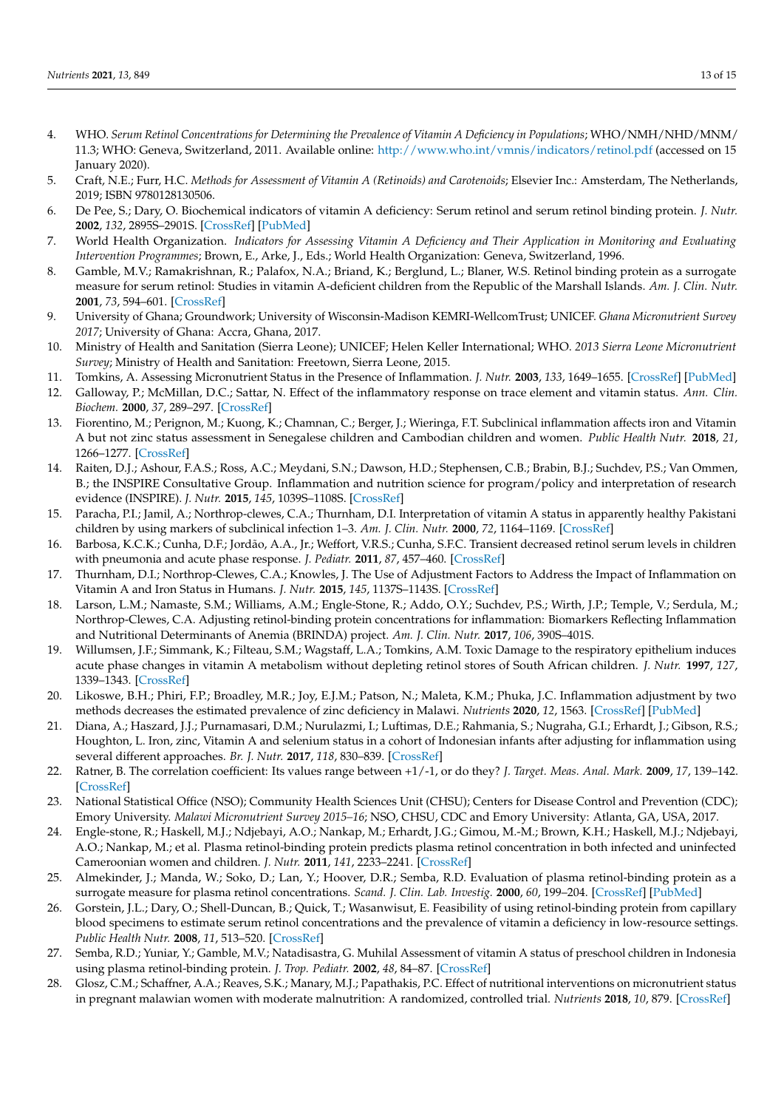- <span id="page-12-0"></span>4. WHO. *Serum Retinol Concentrations for Determining the Prevalence of Vitamin A Deficiency in Populations*; WHO/NMH/NHD/MNM/ 11.3; WHO: Geneva, Switzerland, 2011. Available online: <http://www.who.int/vmnis/indicators/retinol.pdf> (accessed on 15 January 2020).
- <span id="page-12-1"></span>5. Craft, N.E.; Furr, H.C. *Methods for Assessment of Vitamin A (Retinoids) and Carotenoids*; Elsevier Inc.: Amsterdam, The Netherlands, 2019; ISBN 9780128130506.
- <span id="page-12-2"></span>6. De Pee, S.; Dary, O. Biochemical indicators of vitamin A deficiency: Serum retinol and serum retinol binding protein. *J. Nutr.* **2002**, *132*, 2895S–2901S. [\[CrossRef\]](http://doi.org/10.1093/jn/132.9.2895S) [\[PubMed\]](http://www.ncbi.nlm.nih.gov/pubmed/12221267)
- <span id="page-12-3"></span>7. World Health Organization. *Indicators for Assessing Vitamin A Deficiency and Their Application in Monitoring and Evaluating Intervention Programmes*; Brown, E., Arke, J., Eds.; World Health Organization: Geneva, Switzerland, 1996.
- <span id="page-12-4"></span>8. Gamble, M.V.; Ramakrishnan, R.; Palafox, N.A.; Briand, K.; Berglund, L.; Blaner, W.S. Retinol binding protein as a surrogate measure for serum retinol: Studies in vitamin A-deficient children from the Republic of the Marshall Islands. *Am. J. Clin. Nutr.* **2001**, *73*, 594–601. [\[CrossRef\]](http://doi.org/10.1093/ajcn/73.3.594)
- <span id="page-12-5"></span>9. University of Ghana; Groundwork; University of Wisconsin-Madison KEMRI-WellcomTrust; UNICEF. *Ghana Micronutrient Survey 2017*; University of Ghana: Accra, Ghana, 2017.
- <span id="page-12-6"></span>10. Ministry of Health and Sanitation (Sierra Leone); UNICEF; Helen Keller International; WHO. *2013 Sierra Leone Micronutrient Survey*; Ministry of Health and Sanitation: Freetown, Sierra Leone, 2015.
- <span id="page-12-7"></span>11. Tomkins, A. Assessing Micronutrient Status in the Presence of Inflammation. *J. Nutr.* **2003**, *133*, 1649–1655. [\[CrossRef\]](http://doi.org/10.1093/jn/133.5.1649S) [\[PubMed\]](http://www.ncbi.nlm.nih.gov/pubmed/12730480)
- <span id="page-12-8"></span>12. Galloway, P.; McMillan, D.C.; Sattar, N. Effect of the inflammatory response on trace element and vitamin status. *Ann. Clin. Biochem.* **2000**, *37*, 289–297. [\[CrossRef\]](http://doi.org/10.1258/0004563001899429)
- <span id="page-12-9"></span>13. Fiorentino, M.; Perignon, M.; Kuong, K.; Chamnan, C.; Berger, J.; Wieringa, F.T. Subclinical inflammation affects iron and Vitamin A but not zinc status assessment in Senegalese children and Cambodian children and women. *Public Health Nutr.* **2018**, *21*, 1266–1277. [\[CrossRef\]](http://doi.org/10.1017/S1368980017003809)
- <span id="page-12-10"></span>14. Raiten, D.J.; Ashour, F.A.S.; Ross, A.C.; Meydani, S.N.; Dawson, H.D.; Stephensen, C.B.; Brabin, B.J.; Suchdev, P.S.; Van Ommen, B.; the INSPIRE Consultative Group. Inflammation and nutrition science for program/policy and interpretation of research evidence (INSPIRE). *J. Nutr.* **2015**, *145*, 1039S–1108S. [\[CrossRef\]](http://doi.org/10.3945/jn.114.194571)
- <span id="page-12-11"></span>15. Paracha, P.I.; Jamil, A.; Northrop-clewes, C.A.; Thurnham, D.I. Interpretation of vitamin A status in apparently healthy Pakistani children by using markers of subclinical infection 1–3. *Am. J. Clin. Nutr.* **2000**, *72*, 1164–1169. [\[CrossRef\]](http://doi.org/10.1093/ajcn/72.5.1164)
- 16. Barbosa, K.C.K.; Cunha, D.F.; Jordão, A.A., Jr.; Weffort, V.R.S.; Cunha, S.F.C. Transient decreased retinol serum levels in children with pneumonia and acute phase response. *J. Pediatr.* **2011**, *87*, 457–460. [\[CrossRef\]](http://doi.org/10.2223/JPED.2104)
- 17. Thurnham, D.I.; Northrop-Clewes, C.A.; Knowles, J. The Use of Adjustment Factors to Address the Impact of Inflammation on Vitamin A and Iron Status in Humans. *J. Nutr.* **2015**, *145*, 1137S–1143S. [\[CrossRef\]](http://doi.org/10.3945/jn.114.194712)
- <span id="page-12-12"></span>18. Larson, L.M.; Namaste, S.M.; Williams, A.M.; Engle-Stone, R.; Addo, O.Y.; Suchdev, P.S.; Wirth, J.P.; Temple, V.; Serdula, M.; Northrop-Clewes, C.A. Adjusting retinol-binding protein concentrations for inflammation: Biomarkers Reflecting Inflammation and Nutritional Determinants of Anemia (BRINDA) project. *Am. J. Clin. Nutr.* **2017**, *106*, 390S–401S.
- <span id="page-12-13"></span>19. Willumsen, J.F.; Simmank, K.; Filteau, S.M.; Wagstaff, L.A.; Tomkins, A.M. Toxic Damage to the respiratory epithelium induces acute phase changes in vitamin A metabolism without depleting retinol stores of South African children. *J. Nutr.* **1997**, *127*, 1339–1343. [\[CrossRef\]](http://doi.org/10.1093/jn/127.7.1339)
- <span id="page-12-14"></span>20. Likoswe, B.H.; Phiri, F.P.; Broadley, M.R.; Joy, E.J.M.; Patson, N.; Maleta, K.M.; Phuka, J.C. Inflammation adjustment by two methods decreases the estimated prevalence of zinc deficiency in Malawi. *Nutrients* **2020**, *12*, 1563. [\[CrossRef\]](http://doi.org/10.3390/nu12061563) [\[PubMed\]](http://www.ncbi.nlm.nih.gov/pubmed/32471229)
- <span id="page-12-15"></span>21. Diana, A.; Haszard, J.J.; Purnamasari, D.M.; Nurulazmi, I.; Luftimas, D.E.; Rahmania, S.; Nugraha, G.I.; Erhardt, J.; Gibson, R.S.; Houghton, L. Iron, zinc, Vitamin A and selenium status in a cohort of Indonesian infants after adjusting for inflammation using several different approaches. *Br. J. Nutr.* **2017**, *118*, 830–839. [\[CrossRef\]](http://doi.org/10.1017/S0007114517002860)
- <span id="page-12-16"></span>22. Ratner, B. The correlation coefficient: Its values range between +1/-1, or do they? *J. Target. Meas. Anal. Mark.* **2009**, *17*, 139–142. [\[CrossRef\]](http://doi.org/10.1057/jt.2009.5)
- <span id="page-12-17"></span>23. National Statistical Office (NSO); Community Health Sciences Unit (CHSU); Centers for Disease Control and Prevention (CDC); Emory University. *Malawi Micronutrient Survey 2015–16*; NSO, CHSU, CDC and Emory University: Atlanta, GA, USA, 2017.
- <span id="page-12-18"></span>24. Engle-stone, R.; Haskell, M.J.; Ndjebayi, A.O.; Nankap, M.; Erhardt, J.G.; Gimou, M.-M.; Brown, K.H.; Haskell, M.J.; Ndjebayi, A.O.; Nankap, M.; et al. Plasma retinol-binding protein predicts plasma retinol concentration in both infected and uninfected Cameroonian women and children. *J. Nutr.* **2011**, *141*, 2233–2241. [\[CrossRef\]](http://doi.org/10.3945/jn.111.145805)
- 25. Almekinder, J.; Manda, W.; Soko, D.; Lan, Y.; Hoover, D.R.; Semba, R.D. Evaluation of plasma retinol-binding protein as a surrogate measure for plasma retinol concentrations. *Scand. J. Clin. Lab. Investig.* **2000**, *60*, 199–204. [\[CrossRef\]](http://doi.org/10.1080/003655100750044848) [\[PubMed\]](http://www.ncbi.nlm.nih.gov/pubmed/10885491)
- 26. Gorstein, J.L.; Dary, O.; Shell-Duncan, B.; Quick, T.; Wasanwisut, E. Feasibility of using retinol-binding protein from capillary blood specimens to estimate serum retinol concentrations and the prevalence of vitamin a deficiency in low-resource settings. *Public Health Nutr.* **2008**, *11*, 513–520. [\[CrossRef\]](http://doi.org/10.1017/S1368980007000821)
- <span id="page-12-20"></span>27. Semba, R.D.; Yuniar, Y.; Gamble, M.V.; Natadisastra, G. Muhilal Assessment of vitamin A status of preschool children in Indonesia using plasma retinol-binding protein. *J. Trop. Pediatr.* **2002**, *48*, 84–87. [\[CrossRef\]](http://doi.org/10.1093/tropej/48.2.84)
- <span id="page-12-19"></span>28. Glosz, C.M.; Schaffner, A.A.; Reaves, S.K.; Manary, M.J.; Papathakis, P.C. Effect of nutritional interventions on micronutrient status in pregnant malawian women with moderate malnutrition: A randomized, controlled trial. *Nutrients* **2018**, *10*, 879. [\[CrossRef\]](http://doi.org/10.3390/nu10070879)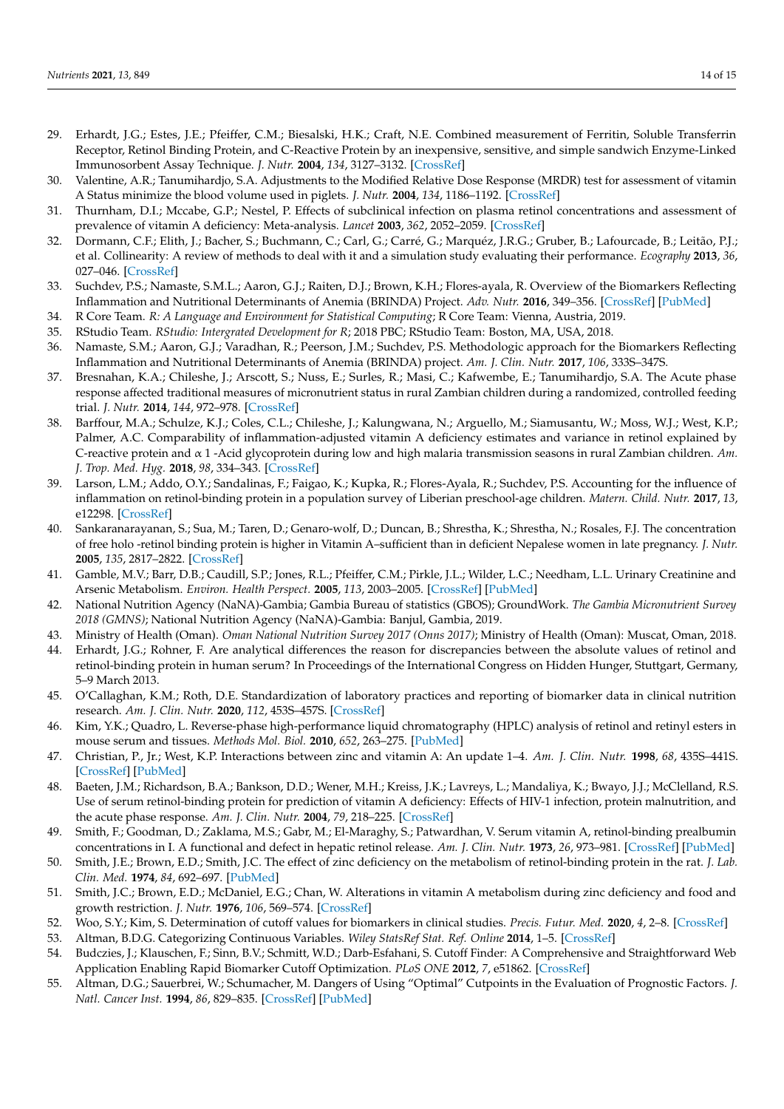- <span id="page-13-0"></span>29. Erhardt, J.G.; Estes, J.E.; Pfeiffer, C.M.; Biesalski, H.K.; Craft, N.E. Combined measurement of Ferritin, Soluble Transferrin Receptor, Retinol Binding Protein, and C-Reactive Protein by an inexpensive, sensitive, and simple sandwich Enzyme-Linked Immunosorbent Assay Technique. *J. Nutr.* **2004**, *134*, 3127–3132. [\[CrossRef\]](http://doi.org/10.1093/jn/134.11.3127)
- <span id="page-13-1"></span>30. Valentine, A.R.; Tanumihardjo, S.A. Adjustments to the Modified Relative Dose Response (MRDR) test for assessment of vitamin A Status minimize the blood volume used in piglets. *J. Nutr.* **2004**, *134*, 1186–1192. [\[CrossRef\]](http://doi.org/10.1093/jn/134.5.1186)
- <span id="page-13-2"></span>31. Thurnham, D.I.; Mccabe, G.P.; Nestel, P. Effects of subclinical infection on plasma retinol concentrations and assessment of prevalence of vitamin A deficiency: Meta-analysis. *Lancet* **2003**, *362*, 2052–2059. [\[CrossRef\]](http://doi.org/10.1016/S0140-6736(03)15099-4)
- <span id="page-13-3"></span>32. Dormann, C.F.; Elith, J.; Bacher, S.; Buchmann, C.; Carl, G.; Carré, G.; Marquéz, J.R.G.; Gruber, B.; Lafourcade, B.; Leitão, P.J.; et al. Collinearity: A review of methods to deal with it and a simulation study evaluating their performance. *Ecography* **2013**, *36*, 027–046. [\[CrossRef\]](http://doi.org/10.1111/j.1600-0587.2012.07348.x)
- <span id="page-13-4"></span>33. Suchdev, P.S.; Namaste, S.M.L.; Aaron, G.J.; Raiten, D.J.; Brown, K.H.; Flores-ayala, R. Overview of the Biomarkers Reflecting Inflammation and Nutritional Determinants of Anemia (BRINDA) Project. *Adv. Nutr.* **2016**, 349–356. [\[CrossRef\]](http://doi.org/10.3945/an.115.010215) [\[PubMed\]](http://www.ncbi.nlm.nih.gov/pubmed/26980818)
- <span id="page-13-5"></span>34. R Core Team. *R: A Language and Environment for Statistical Computing*; R Core Team: Vienna, Austria, 2019.
- <span id="page-13-6"></span>35. RStudio Team. *RStudio: Intergrated Development for R*; 2018 PBC; RStudio Team: Boston, MA, USA, 2018.
- <span id="page-13-7"></span>36. Namaste, S.M.; Aaron, G.J.; Varadhan, R.; Peerson, J.M.; Suchdev, P.S. Methodologic approach for the Biomarkers Reflecting Inflammation and Nutritional Determinants of Anemia (BRINDA) project. *Am. J. Clin. Nutr.* **2017**, *106*, 333S–347S.
- <span id="page-13-8"></span>37. Bresnahan, K.A.; Chileshe, J.; Arscott, S.; Nuss, E.; Surles, R.; Masi, C.; Kafwembe, E.; Tanumihardjo, S.A. The Acute phase response affected traditional measures of micronutrient status in rural Zambian children during a randomized, controlled feeding trial. *J. Nutr.* **2014**, *144*, 972–978. [\[CrossRef\]](http://doi.org/10.3945/jn.114.192245)
- <span id="page-13-9"></span>38. Barffour, M.A.; Schulze, K.J.; Coles, C.L.; Chileshe, J.; Kalungwana, N.; Arguello, M.; Siamusantu, W.; Moss, W.J.; West, K.P.; Palmer, A.C. Comparability of inflammation-adjusted vitamin A deficiency estimates and variance in retinol explained by C-reactive protein and α 1 -Acid glycoprotein during low and high malaria transmission seasons in rural Zambian children. *Am. J. Trop. Med. Hyg.* **2018**, *98*, 334–343. [\[CrossRef\]](http://doi.org/10.4269/ajtmh.17-0130)
- <span id="page-13-10"></span>39. Larson, L.M.; Addo, O.Y.; Sandalinas, F.; Faigao, K.; Kupka, R.; Flores-Ayala, R.; Suchdev, P.S. Accounting for the influence of inflammation on retinol-binding protein in a population survey of Liberian preschool-age children. *Matern. Child. Nutr.* **2017**, *13*, e12298. [\[CrossRef\]](http://doi.org/10.1111/mcn.12298)
- <span id="page-13-11"></span>40. Sankaranarayanan, S.; Sua, M.; Taren, D.; Genaro-wolf, D.; Duncan, B.; Shrestha, K.; Shrestha, N.; Rosales, F.J. The concentration of free holo -retinol binding protein is higher in Vitamin A–sufficient than in deficient Nepalese women in late pregnancy. *J. Nutr.* **2005**, *135*, 2817–2822. [\[CrossRef\]](http://doi.org/10.1093/jn/135.12.2817)
- <span id="page-13-12"></span>41. Gamble, M.V.; Barr, D.B.; Caudill, S.P.; Jones, R.L.; Pfeiffer, C.M.; Pirkle, J.L.; Wilder, L.C.; Needham, L.L. Urinary Creatinine and Arsenic Metabolism. *Environ. Health Perspect.* **2005**, *113*, 2003–2005. [\[CrossRef\]](http://doi.org/10.1289/ehp.113-a442a) [\[PubMed\]](http://www.ncbi.nlm.nih.gov/pubmed/16002357)
- <span id="page-13-25"></span>42. National Nutrition Agency (NaNA)-Gambia; Gambia Bureau of statistics (GBOS); GroundWork. *The Gambia Micronutrient Survey 2018 (GMNS)*; National Nutrition Agency (NaNA)-Gambia: Banjul, Gambia, 2019.
- <span id="page-13-13"></span>43. Ministry of Health (Oman). *Oman National Nutrition Survey 2017 (Onns 2017)*; Ministry of Health (Oman): Muscat, Oman, 2018.
- <span id="page-13-14"></span>44. Erhardt, J.G.; Rohner, F. Are analytical differences the reason for discrepancies between the absolute values of retinol and retinol-binding protein in human serum? In Proceedings of the International Congress on Hidden Hunger, Stuttgart, Germany, 5–9 March 2013.
- <span id="page-13-15"></span>45. O'Callaghan, K.M.; Roth, D.E. Standardization of laboratory practices and reporting of biomarker data in clinical nutrition research. *Am. J. Clin. Nutr.* **2020**, *112*, 453S–457S. [\[CrossRef\]](http://doi.org/10.1093/ajcn/nqaa036)
- <span id="page-13-16"></span>46. Kim, Y.K.; Quadro, L. Reverse-phase high-performance liquid chromatography (HPLC) analysis of retinol and retinyl esters in mouse serum and tissues. *Methods Mol. Biol.* **2010**, *652*, 263–275. [\[PubMed\]](http://www.ncbi.nlm.nih.gov/pubmed/20552434)
- <span id="page-13-17"></span>47. Christian, P., Jr.; West, K.P. Interactions between zinc and vitamin A: An update 1–4. *Am. J. Clin. Nutr.* **1998**, *68*, 435S–441S. [\[CrossRef\]](http://doi.org/10.1093/ajcn/68.2.435S) [\[PubMed\]](http://www.ncbi.nlm.nih.gov/pubmed/9701158)
- <span id="page-13-18"></span>48. Baeten, J.M.; Richardson, B.A.; Bankson, D.D.; Wener, M.H.; Kreiss, J.K.; Lavreys, L.; Mandaliya, K.; Bwayo, J.J.; McClelland, R.S. Use of serum retinol-binding protein for prediction of vitamin A deficiency: Effects of HIV-1 infection, protein malnutrition, and the acute phase response. *Am. J. Clin. Nutr.* **2004**, *79*, 218–225. [\[CrossRef\]](http://doi.org/10.1093/ajcn/79.2.218)
- <span id="page-13-19"></span>49. Smith, F.; Goodman, D.; Zaklama, M.S.; Gabr, M.; El-Maraghy, S.; Patwardhan, V. Serum vitamin A, retinol-binding prealbumin concentrations in I. A functional and defect in hepatic retinol release. *Am. J. Clin. Nutr.* **1973**, *26*, 973–981. [\[CrossRef\]](http://doi.org/10.1093/ajcn/26.9.973) [\[PubMed\]](http://www.ncbi.nlm.nih.gov/pubmed/4199432)
- <span id="page-13-20"></span>50. Smith, J.E.; Brown, E.D.; Smith, J.C. The effect of zinc deficiency on the metabolism of retinol-binding protein in the rat. *J. Lab. Clin. Med.* **1974**, *84*, 692–697. [\[PubMed\]](http://www.ncbi.nlm.nih.gov/pubmed/4283791)
- <span id="page-13-21"></span>51. Smith, J.C.; Brown, E.D.; McDaniel, E.G.; Chan, W. Alterations in vitamin A metabolism during zinc deficiency and food and growth restriction. *J. Nutr.* **1976**, *106*, 569–574. [\[CrossRef\]](http://doi.org/10.1093/jn/106.4.569)
- <span id="page-13-22"></span>52. Woo, S.Y.; Kim, S. Determination of cutoff values for biomarkers in clinical studies. *Precis. Futur. Med.* **2020**, *4*, 2–8. [\[CrossRef\]](http://doi.org/10.23838/pfm.2019.00135)
- 53. Altman, B.D.G. Categorizing Continuous Variables. *Wiley StatsRef Stat. Ref. Online* **2014**, 1–5. [\[CrossRef\]](http://doi.org/10.1002/9781118445112.stat04857)
- <span id="page-13-23"></span>54. Budczies, J.; Klauschen, F.; Sinn, B.V.; Schmitt, W.D.; Darb-Esfahani, S. Cutoff Finder: A Comprehensive and Straightforward Web Application Enabling Rapid Biomarker Cutoff Optimization. *PLoS ONE* **2012**, *7*, e51862. [\[CrossRef\]](http://doi.org/10.1371/journal.pone.0051862)
- <span id="page-13-24"></span>55. Altman, D.G.; Sauerbrei, W.; Schumacher, M. Dangers of Using "Optimal" Cutpoints in the Evaluation of Prognostic Factors. *J. Natl. Cancer Inst.* **1994**, *86*, 829–835. [\[CrossRef\]](http://doi.org/10.1093/jnci/86.11.829) [\[PubMed\]](http://www.ncbi.nlm.nih.gov/pubmed/8182763)